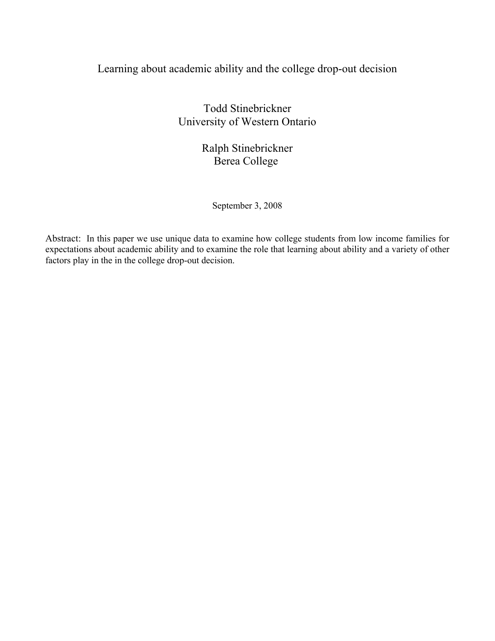# Learning about academic ability and the college drop-out decision

Todd Stinebrickner University of Western Ontario

> Ralph Stinebrickner Berea College

> > September 3, 2008

Abstract: In this paper we use unique data to examine how college students from low income families for expectations about academic ability and to examine the role that learning about ability and a variety of other factors play in the in the college drop-out decision.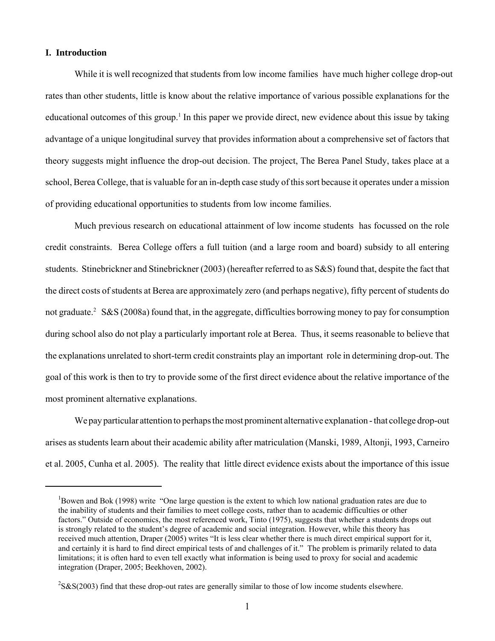### **I. Introduction**

 While it is well recognized that students from low income families have much higher college drop-out rates than other students, little is know about the relative importance of various possible explanations for the educational outcomes of this group.<sup>1</sup> In this paper we provide direct, new evidence about this issue by taking advantage of a unique longitudinal survey that provides information about a comprehensive set of factors that theory suggests might influence the drop-out decision. The project, The Berea Panel Study, takes place at a school, Berea College, that is valuable for an in-depth case study of this sort because it operates under a mission of providing educational opportunities to students from low income families.

Much previous research on educational attainment of low income students has focussed on the role credit constraints. Berea College offers a full tuition (and a large room and board) subsidy to all entering students. Stinebrickner and Stinebrickner (2003) (hereafter referred to as S&S) found that, despite the fact that the direct costs of students at Berea are approximately zero (and perhaps negative), fifty percent of students do not graduate.<sup>2</sup> S&S (2008a) found that, in the aggregate, difficulties borrowing money to pay for consumption during school also do not play a particularly important role at Berea. Thus, it seems reasonable to believe that the explanations unrelated to short-term credit constraints play an important role in determining drop-out. The goal of this work is then to try to provide some of the first direct evidence about the relative importance of the most prominent alternative explanations.

We pay particular attention to perhaps the most prominent alternative explanation - that college drop-out arises as students learn about their academic ability after matriculation (Manski, 1989, Altonji, 1993, Carneiro et al. 2005, Cunha et al. 2005). The reality that little direct evidence exists about the importance of this issue

<sup>&</sup>lt;sup>1</sup>Bowen and Bok (1998) write "One large question is the extent to which low national graduation rates are due to the inability of students and their families to meet college costs, rather than to academic difficulties or other factors." Outside of economics, the most referenced work, Tinto (1975), suggests that whether a students drops out is strongly related to the student's degree of academic and social integration. However, while this theory has received much attention, Draper (2005) writes "It is less clear whether there is much direct empirical support for it, and certainly it is hard to find direct empirical tests of and challenges of it." The problem is primarily related to data limitations; it is often hard to even tell exactly what information is being used to proxy for social and academic integration (Draper, 2005; Beekhoven, 2002).

 $2$ S&S(2003) find that these drop-out rates are generally similar to those of low income students elsewhere.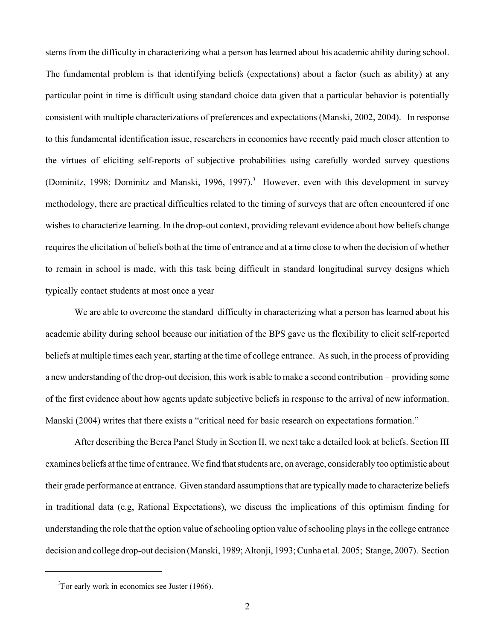stems from the difficulty in characterizing what a person has learned about his academic ability during school. The fundamental problem is that identifying beliefs (expectations) about a factor (such as ability) at any particular point in time is difficult using standard choice data given that a particular behavior is potentially consistent with multiple characterizations of preferences and expectations (Manski, 2002, 2004). In response to this fundamental identification issue, researchers in economics have recently paid much closer attention to the virtues of eliciting self-reports of subjective probabilities using carefully worded survey questions (Dominitz, 1998; Dominitz and Manski, 1996, 1997).<sup>3</sup> However, even with this development in survey methodology, there are practical difficulties related to the timing of surveys that are often encountered if one wishes to characterize learning. In the drop-out context, providing relevant evidence about how beliefs change requires the elicitation of beliefs both at the time of entrance and at a time close to when the decision of whether to remain in school is made, with this task being difficult in standard longitudinal survey designs which typically contact students at most once a year

We are able to overcome the standard difficulty in characterizing what a person has learned about his academic ability during school because our initiation of the BPS gave us the flexibility to elicit self-reported beliefs at multiple times each year, starting at the time of college entrance. As such, in the process of providing a new understanding of the drop-out decision, this work is able to make a second contribution - providing some of the first evidence about how agents update subjective beliefs in response to the arrival of new information. Manski (2004) writes that there exists a "critical need for basic research on expectations formation."

After describing the Berea Panel Study in Section II, we next take a detailed look at beliefs. Section III examines beliefs at the time of entrance. We find that students are, on average, considerably too optimistic about their grade performance at entrance. Given standard assumptions that are typically made to characterize beliefs in traditional data (e.g, Rational Expectations), we discuss the implications of this optimism finding for understanding the role that the option value of schooling option value of schooling plays in the college entrance decision and college drop-out decision (Manski, 1989; Altonji, 1993; Cunha et al. 2005; Stange, 2007). Section

 ${}^{3}$ For early work in economics see Juster (1966).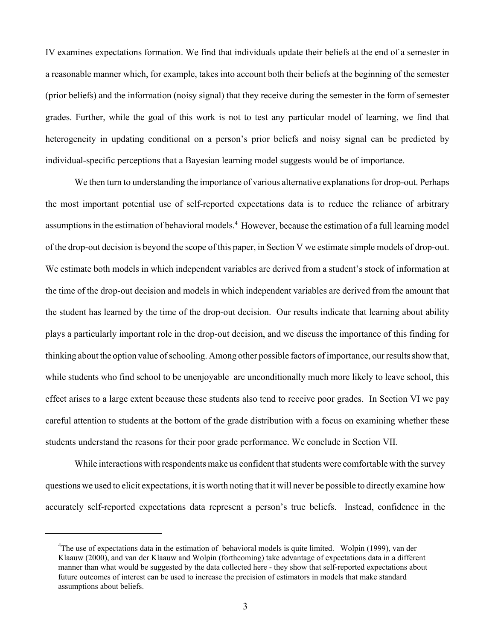IV examines expectations formation. We find that individuals update their beliefs at the end of a semester in a reasonable manner which, for example, takes into account both their beliefs at the beginning of the semester (prior beliefs) and the information (noisy signal) that they receive during the semester in the form of semester grades. Further, while the goal of this work is not to test any particular model of learning, we find that heterogeneity in updating conditional on a person's prior beliefs and noisy signal can be predicted by individual-specific perceptions that a Bayesian learning model suggests would be of importance.

We then turn to understanding the importance of various alternative explanations for drop-out. Perhaps the most important potential use of self-reported expectations data is to reduce the reliance of arbitrary assumptions in the estimation of behavioral models.<sup>4</sup> However, because the estimation of a full learning model of the drop-out decision is beyond the scope of this paper, in Section V we estimate simple models of drop-out. We estimate both models in which independent variables are derived from a student's stock of information at the time of the drop-out decision and models in which independent variables are derived from the amount that the student has learned by the time of the drop-out decision. Our results indicate that learning about ability plays a particularly important role in the drop-out decision, and we discuss the importance of this finding for thinking about the option value of schooling. Among other possible factors of importance, our results show that, while students who find school to be unenjoyable are unconditionally much more likely to leave school, this effect arises to a large extent because these students also tend to receive poor grades. In Section VI we pay careful attention to students at the bottom of the grade distribution with a focus on examining whether these students understand the reasons for their poor grade performance. We conclude in Section VII.

While interactions with respondents make us confident that students were comfortable with the survey questions we used to elicit expectations, it is worth noting that it will never be possible to directly examine how accurately self-reported expectations data represent a person's true beliefs. Instead, confidence in the

<sup>&</sup>lt;sup>4</sup>The use of expectations data in the estimation of behavioral models is quite limited. Wolpin (1999), van der Klaauw (2000), and van der Klaauw and Wolpin (forthcoming) take advantage of expectations data in a different manner than what would be suggested by the data collected here - they show that self-reported expectations about future outcomes of interest can be used to increase the precision of estimators in models that make standard assumptions about beliefs.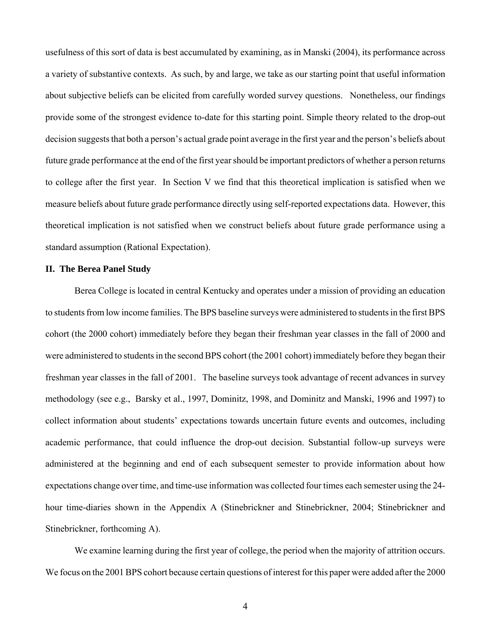usefulness of this sort of data is best accumulated by examining, as in Manski (2004), its performance across a variety of substantive contexts. As such, by and large, we take as our starting point that useful information about subjective beliefs can be elicited from carefully worded survey questions. Nonetheless, our findings provide some of the strongest evidence to-date for this starting point. Simple theory related to the drop-out decision suggests that both a person's actual grade point average in the first year and the person's beliefs about future grade performance at the end of the first year should be important predictors of whether a person returns to college after the first year. In Section V we find that this theoretical implication is satisfied when we measure beliefs about future grade performance directly using self-reported expectations data. However, this theoretical implication is not satisfied when we construct beliefs about future grade performance using a standard assumption (Rational Expectation).

### **II. The Berea Panel Study**

Berea College is located in central Kentucky and operates under a mission of providing an education to students from low income families. The BPS baseline surveys were administered to students in the first BPS cohort (the 2000 cohort) immediately before they began their freshman year classes in the fall of 2000 and were administered to students in the second BPS cohort (the 2001 cohort) immediately before they began their freshman year classes in the fall of 2001. The baseline surveys took advantage of recent advances in survey methodology (see e.g., Barsky et al., 1997, Dominitz, 1998, and Dominitz and Manski, 1996 and 1997) to collect information about students' expectations towards uncertain future events and outcomes, including academic performance, that could influence the drop-out decision. Substantial follow-up surveys were administered at the beginning and end of each subsequent semester to provide information about how expectations change over time, and time-use information was collected four times each semester using the 24 hour time-diaries shown in the Appendix A (Stinebrickner and Stinebrickner, 2004; Stinebrickner and Stinebrickner, forthcoming A).

We examine learning during the first year of college, the period when the majority of attrition occurs. We focus on the 2001 BPS cohort because certain questions of interest for this paper were added after the 2000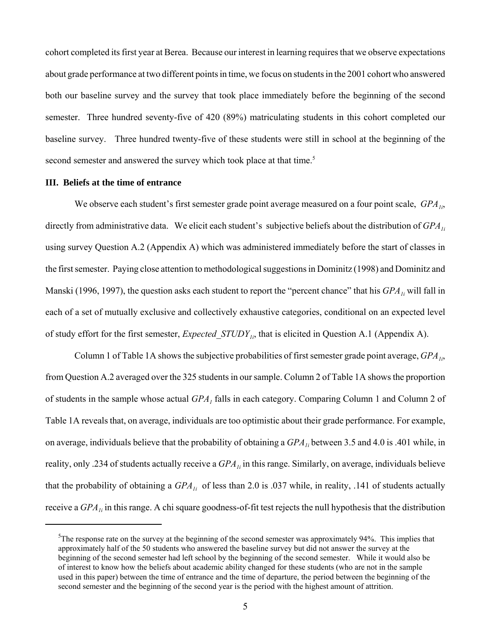cohort completed its first year at Berea. Because our interest in learning requires that we observe expectations about grade performance at two different points in time, we focus on students in the 2001 cohort who answered both our baseline survey and the survey that took place immediately before the beginning of the second semester. Three hundred seventy-five of 420 (89%) matriculating students in this cohort completed our baseline survey. Three hundred twenty-five of these students were still in school at the beginning of the second semester and answered the survey which took place at that time.<sup>5</sup>

### **III. Beliefs at the time of entrance**

We observe each student's first semester grade point average measured on a four point scale, *GPA*<sub>*i*</sub>, directly from administrative data. We elicit each student's subjective beliefs about the distribution of *GPA*<sub>1i</sub> using survey Question A.2 (Appendix A) which was administered immediately before the start of classes in the first semester. Paying close attention to methodological suggestions in Dominitz (1998) and Dominitz and Manski (1996, 1997), the question asks each student to report the "percent chance" that his *GPA<sub>1i</sub>* will fall in each of a set of mutually exclusive and collectively exhaustive categories, conditional on an expected level of study effort for the first semester, *Expected STUDY<sub>1i*</sub>, that is elicited in Question A.1 (Appendix A).

Column 1 of Table 1A shows the subjective probabilities of first semester grade point average, *GPA1i*, from Question A.2 averaged over the 325 students in our sample. Column 2 of Table 1A shows the proportion of students in the sample whose actual  $GPA<sub>1</sub>$  falls in each category. Comparing Column 1 and Column 2 of Table 1A reveals that, on average, individuals are too optimistic about their grade performance. For example, on average, individuals believe that the probability of obtaining a  $GPA_{1i}$  between 3.5 and 4.0 is .401 while, in reality, only .234 of students actually receive a *GPA<sub>1i</sub>* in this range. Similarly, on average, individuals believe that the probability of obtaining a *GPA<sub>1i</sub>* of less than 2.0 is .037 while, in reality, .141 of students actually receive a *GPA<sub>1i</sub>* in this range. A chi square goodness-of-fit test rejects the null hypothesis that the distribution

 $5$ The response rate on the survey at the beginning of the second semester was approximately 94%. This implies that approximately half of the 50 students who answered the baseline survey but did not answer the survey at the beginning of the second semester had left school by the beginning of the second semester. While it would also be of interest to know how the beliefs about academic ability changed for these students (who are not in the sample used in this paper) between the time of entrance and the time of departure, the period between the beginning of the second semester and the beginning of the second year is the period with the highest amount of attrition.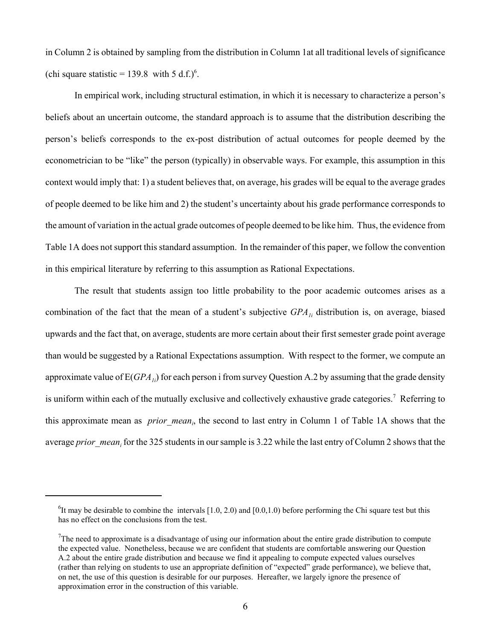in Column 2 is obtained by sampling from the distribution in Column 1at all traditional levels of significance (chi square statistic = 139.8 with 5 d.f.)<sup>6</sup>.

In empirical work, including structural estimation, in which it is necessary to characterize a person's beliefs about an uncertain outcome, the standard approach is to assume that the distribution describing the person's beliefs corresponds to the ex-post distribution of actual outcomes for people deemed by the econometrician to be "like" the person (typically) in observable ways. For example, this assumption in this context would imply that: 1) a student believes that, on average, his grades will be equal to the average grades of people deemed to be like him and 2) the student's uncertainty about his grade performance corresponds to the amount of variation in the actual grade outcomes of people deemed to be like him. Thus, the evidence from Table 1A does not support this standard assumption. In the remainder of this paper, we follow the convention in this empirical literature by referring to this assumption as Rational Expectations.

The result that students assign too little probability to the poor academic outcomes arises as a combination of the fact that the mean of a student's subjective  $GPA_{1i}$  distribution is, on average, biased upwards and the fact that, on average, students are more certain about their first semester grade point average than would be suggested by a Rational Expectations assumption. With respect to the former, we compute an approximate value of  $E(GPA_{ij})$  for each person i from survey Question A.2 by assuming that the grade density is uniform within each of the mutually exclusive and collectively exhaustive grade categories.<sup>7</sup> Referring to this approximate mean as *prior\_mean<sub>i</sub>*, the second to last entry in Column 1 of Table 1A shows that the average *prior\_mean<sub>i</sub>* for the 325 students in our sample is 3.22 while the last entry of Column 2 shows that the

<sup>&</sup>lt;sup>6</sup>It may be desirable to combine the intervals  $[1.0, 2.0)$  and  $[0.0, 1.0)$  before performing the Chi square test but this has no effect on the conclusions from the test.

<sup>&</sup>lt;sup>7</sup>The need to approximate is a disadvantage of using our information about the entire grade distribution to compute the expected value. Nonetheless, because we are confident that students are comfortable answering our Question A.2 about the entire grade distribution and because we find it appealing to compute expected values ourselves (rather than relying on students to use an appropriate definition of "expected" grade performance), we believe that, on net, the use of this question is desirable for our purposes. Hereafter, we largely ignore the presence of approximation error in the construction of this variable.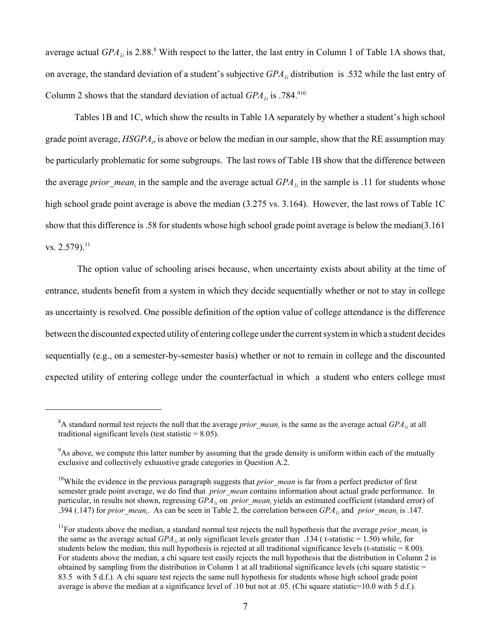average actual  $GPA_{1i}$  is 2.88.<sup>8</sup> With respect to the latter, the last entry in Column 1 of Table 1A shows that, on average, the standard deviation of a student's subjective *GPA1i* distribution is .532 while the last entry of Column 2 shows that the standard deviation of actual  $GPA_{1i}$  is .784.<sup>910</sup>

Tables 1B and 1C, which show the results in Table 1A separately by whether a student's high school grade point average, *HSGPA<sub>i</sub>*, is above or below the median in our sample, show that the RE assumption may be particularly problematic for some subgroups. The last rows of Table 1B show that the difference between the average *prior\_mean<sub>i</sub>* in the sample and the average actual *GPA<sub>1i</sub>* in the sample is .11 for students whose high school grade point average is above the median (3.275 vs. 3.164). However, the last rows of Table 1C show that this difference is .58 for students whose high school grade point average is below the median(3.161 vs.  $2.579$ ).<sup>11</sup>

 The option value of schooling arises because, when uncertainty exists about ability at the time of entrance, students benefit from a system in which they decide sequentially whether or not to stay in college as uncertainty is resolved. One possible definition of the option value of college attendance is the difference between the discounted expected utility of entering college under the current system in which a student decides sequentially (e.g., on a semester-by-semester basis) whether or not to remain in college and the discounted expected utility of entering college under the counterfactual in which a student who enters college must

 ${}^8$ A standard normal test rejects the null that the average *prior\_mean<sub>i</sub>* is the same as the average actual *GPA<sub>1i</sub>* at all traditional significant levels (test statistic  $= 8.05$ ).

<sup>&</sup>lt;sup>9</sup>As above, we compute this latter number by assuming that the grade density is uniform within each of the mutually exclusive and collectively exhaustive grade categories in Question A.2.

<sup>&</sup>lt;sup>10</sup>While the evidence in the previous paragraph suggests that *prior mean* is far from a perfect predictor of first semester grade point average, we do find that *prior mean* contains information about actual grade performance. In particular, in results not shown, regressing  $GPA_{1i}$  on *prior\_mean<sub>i</sub>* yields an estimated coefficient (standard error) of .394 (.147) for *prior\_mean<sub>i</sub>*. As can be seen in Table 2, the correlation between  $GPA_{1i}$  and *prior\_mean<sub>i</sub>* is .147.

<sup>&</sup>lt;sup>11</sup>For students above the median, a standard normal test rejects the null hypothesis that the average *prior\_mean<sub>i</sub>* is the same as the average actual  $GPA_{1i}$  at only significant levels greater than .134 (t-statistic = 1.50) while, for students below the median, this null hypothesis is rejected at all traditional significance levels (t-statistic  $= 8.00$ ). For students above the median, a chi square test easily rejects the null hypothesis that the distribution in Column 2 is obtained by sampling from the distribution in Column 1 at all traditional significance levels (chi square statistic  $=$ 83.5 with 5 d.f.). A chi square test rejects the same null hypothesis for students whose high school grade point average is above the median at a significance level of .10 but not at .05. (Chi square statistic=10.0 with 5 d.f.).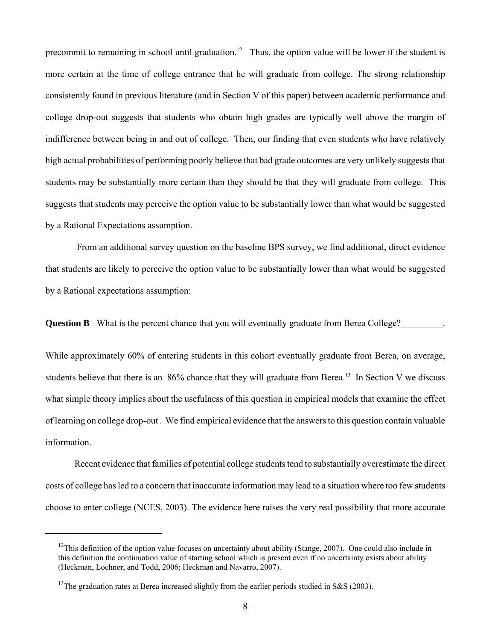precommit to remaining in school until graduation.<sup>12</sup> Thus, the option value will be lower if the student is more certain at the time of college entrance that he will graduate from college. The strong relationship consistently found in previous literature (and in Section V of this paper) between academic performance and college drop-out suggests that students who obtain high grades are typically well above the margin of indifference between being in and out of college. Then, our finding that even students who have relatively high actual probabilities of performing poorly believe that bad grade outcomes are very unlikely suggests that students may be substantially more certain than they should be that they will graduate from college. This suggests that students may perceive the option value to be substantially lower than what would be suggested by a Rational Expectations assumption.

 From an additional survey question on the baseline BPS survey, we find additional, direct evidence that students are likely to perceive the option value to be substantially lower than what would be suggested by a Rational expectations assumption:

**Question B** What is the percent chance that you will eventually graduate from Berea College?

While approximately 60% of entering students in this cohort eventually graduate from Berea, on average, students believe that there is an  $86\%$  chance that they will graduate from Berea.<sup>13</sup> In Section V we discuss what simple theory implies about the usefulness of this question in empirical models that examine the effect of learning on college drop-out . We find empirical evidence that the answers to this question contain valuable information.

Recent evidence that families of potential college students tend to substantially overestimate the direct costs of college has led to a concern that inaccurate information may lead to a situation where too few students choose to enter college (NCES, 2003). The evidence here raises the very real possibility that more accurate

 $12$ This definition of the option value focuses on uncertainty about ability (Stange, 2007). One could also include in this definition the continuation value of starting school which is present even if no uncertainty exists about ability (Heckman, Lochner, and Todd, 2006; Heckman and Navarro, 2007).

<sup>&</sup>lt;sup>13</sup>The graduation rates at Berea increased slightly from the earlier periods studied in S&S (2003).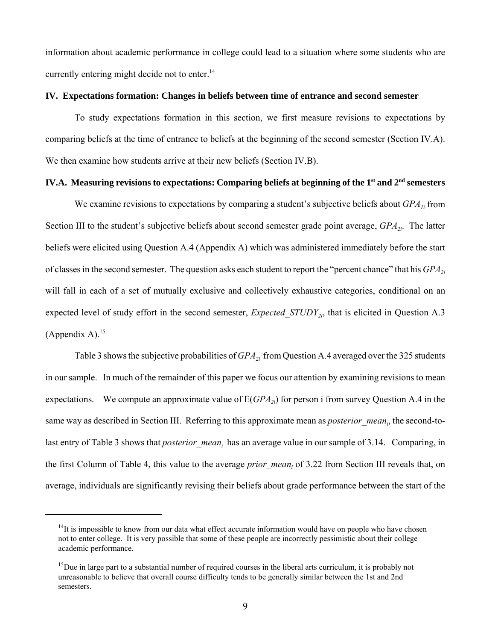information about academic performance in college could lead to a situation where some students who are currently entering might decide not to enter.<sup>14</sup>

### **IV. Expectations formation: Changes in beliefs between time of entrance and second semester**

To study expectations formation in this section, we first measure revisions to expectations by comparing beliefs at the time of entrance to beliefs at the beginning of the second semester (Section IV.A). We then examine how students arrive at their new beliefs (Section IV.B).

# IV.A. Measuring revisions to expectations: Comparing beliefs at beginning of the 1<sup>st</sup> and 2<sup>nd</sup> semesters

We examine revisions to expectations by comparing a student's subjective beliefs about *GPA<sub>1i</sub>* from Section III to the student's subjective beliefs about second semester grade point average, *GPA<sub>2i</sub>*. The latter beliefs were elicited using Question A.4 (Appendix A) which was administered immediately before the start of classes in the second semester. The question asks each student to report the "percent chance" that his *GPA*<sub>2i</sub> will fall in each of a set of mutually exclusive and collectively exhaustive categories, conditional on an expected level of study effort in the second semester, *Expected STUDY<sub>2i</sub>*, that is elicited in Question A.3 (Appendix A). $15$ 

Table 3 shows the subjective probabilities of *GPA*<sub>2i</sub> from Question A.4 averaged over the 325 students in our sample. In much of the remainder of this paper we focus our attention by examining revisions to mean expectations. We compute an approximate value of  $E(GPA<sub>2i</sub>)$  for person i from survey Question A.4 in the same way as described in Section III. Referring to this approximate mean as *posterior\_mean<sub>i</sub>*, the second-tolast entry of Table 3 shows that *posterior\_mean<sub>i</sub>* has an average value in our sample of 3.14. Comparing, in the first Column of Table 4, this value to the average *prior\_mean<sub>i</sub>* of 3.22 from Section III reveals that, on average, individuals are significantly revising their beliefs about grade performance between the start of the

 $14$ It is impossible to know from our data what effect accurate information would have on people who have chosen not to enter college. It is very possible that some of these people are incorrectly pessimistic about their college academic performance.

 $15$ Due in large part to a substantial number of required courses in the liberal arts curriculum, it is probably not unreasonable to believe that overall course difficulty tends to be generally similar between the 1st and 2nd semesters.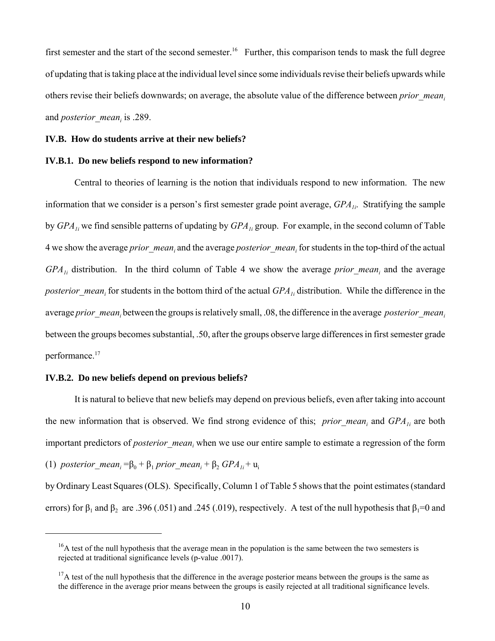first semester and the start of the second semester.<sup>16</sup> Further, this comparison tends to mask the full degree of updating that is taking place at the individual level since some individuals revise their beliefs upwards while others revise their beliefs downwards; on average, the absolute value of the difference between *prior\_meani* and *posterior\_mean<sub>i</sub>* is .289.

#### **IV.B. How do students arrive at their new beliefs?**

### **IV.B.1. Do new beliefs respond to new information?**

Central to theories of learning is the notion that individuals respond to new information. The new information that we consider is a person's first semester grade point average, *GPA<sub>1i</sub>*. Stratifying the sample by *GPA<sub>1i</sub>* we find sensible patterns of updating by *GPA<sub>1i</sub>* group. For example, in the second column of Table 4 we show the average *prior\_mean<sub>i</sub>* and the average *posterior\_mean<sub>i</sub>* for students in the top-third of the actual *GPA<sub>1i</sub>* distribution. In the third column of Table 4 we show the average *prior mean<sub>i</sub>* and the average *posterior mean<sub>i</sub>* for students in the bottom third of the actual *GPA<sub>1i</sub>* distribution. While the difference in the average *prior\_mean<sub>i</sub>* between the groups is relatively small, .08, the difference in the average *posterior\_mean<sub>i</sub>* between the groups becomes substantial, .50, after the groups observe large differences in first semester grade performance.<sup>17</sup>

### **IV.B.2. Do new beliefs depend on previous beliefs?**

It is natural to believe that new beliefs may depend on previous beliefs, even after taking into account the new information that is observed. We find strong evidence of this; *prior\_mean<sub>i</sub>* and  $GPA_{1i}$  are both important predictors of *posterior\_mean<sub>i</sub>* when we use our entire sample to estimate a regression of the form (1) *posterior\_mean<sub>i</sub>* =  $\beta_0 + \beta_1$  *prior\_mean<sub>i</sub>* +  $\beta_2$  *GPA*<sub>1i</sub> +  $\mu_i$ 

by Ordinary Least Squares (OLS). Specifically, Column 1 of Table 5 shows that the point estimates (standard errors) for  $\beta_1$  and  $\beta_2$  are .396 (.051) and .245 (.019), respectively. A test of the null hypothesis that  $\beta_1=0$  and

<sup>&</sup>lt;sup>16</sup>A test of the null hypothesis that the average mean in the population is the same between the two semesters is rejected at traditional significance levels (p-value .0017).

 $17A$  test of the null hypothesis that the difference in the average posterior means between the groups is the same as the difference in the average prior means between the groups is easily rejected at all traditional significance levels.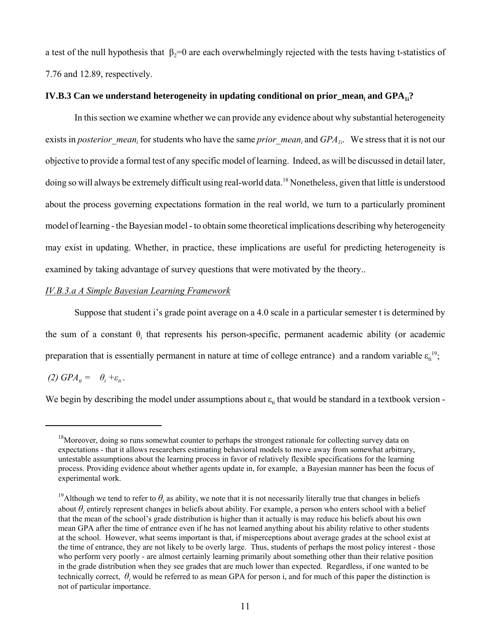a test of the null hypothesis that  $\beta_2=0$  are each overwhelmingly rejected with the tests having t-statistics of 7.76 and 12.89, respectively.

# **IV.B.3** Can we understand heterogeneity in updating conditional on prior\_mean<sub>i</sub> and GPA<sub>1i</sub>?

In this section we examine whether we can provide any evidence about why substantial heterogeneity exists in *posterior\_mean<sub>i</sub>* for students who have the same *prior\_mean<sub>i</sub>* and  $GPA_{1i}$ . We stress that it is not our objective to provide a formal test of any specific model of learning. Indeed, as will be discussed in detail later, doing so will always be extremely difficult using real-world data.18 Nonetheless, given that little is understood about the process governing expectations formation in the real world, we turn to a particularly prominent model of learning - the Bayesian model - to obtain some theoretical implications describing why heterogeneity may exist in updating. Whether, in practice, these implications are useful for predicting heterogeneity is examined by taking advantage of survey questions that were motivated by the theory..

# *IV.B.3.a A Simple Bayesian Learning Framework*

Suppose that student i's grade point average on a 4.0 scale in a particular semester t is determined by the sum of a constant  $\theta$ <sub>i</sub> that represents his person-specific, permanent academic ability (or academic preparation that is essentially permanent in nature at time of college entrance) and a random variable  $\varepsilon_{ti}^{19}$ ;

*(2)*  $GPA_{ti} = \theta_i + \varepsilon_{ti}$ .

We begin by describing the model under assumptions about  $\varepsilon_{ti}$  that would be standard in a textbook version -

<sup>&</sup>lt;sup>18</sup>Moreover, doing so runs somewhat counter to perhaps the strongest rationale for collecting survey data on expectations - that it allows researchers estimating behavioral models to move away from somewhat arbitrary, untestable assumptions about the learning process in favor of relatively flexible specifications for the learning process. Providing evidence about whether agents update in, for example, a Bayesian manner has been the focus of experimental work.

<sup>&</sup>lt;sup>19</sup>Although we tend to refer to  $\theta_i$  as ability, we note that it is not necessarily literally true that changes in beliefs about  $\theta$ <sup>*i*</sup> entirely represent changes in beliefs about ability. For example, a person who enters school with a belief that the mean of the school's grade distribution is higher than it actually is may reduce his beliefs about his own mean GPA after the time of entrance even if he has not learned anything about his ability relative to other students at the school. However, what seems important is that, if misperceptions about average grades at the school exist at the time of entrance, they are not likely to be overly large. Thus, students of perhaps the most policy interest - those who perform very poorly - are almost certainly learning primarily about something other than their relative position in the grade distribution when they see grades that are much lower than expected. Regardless, if one wanted to be technically correct,  $\theta_i$  would be referred to as mean GPA for person i, and for much of this paper the distinction is not of particular importance.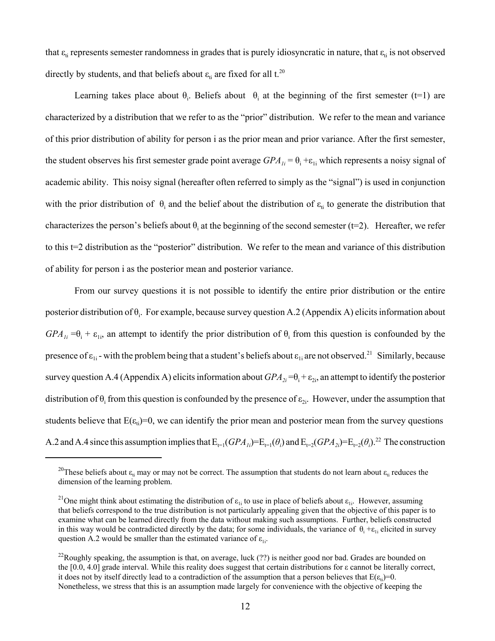that  $\varepsilon_{ti}$  represents semester randomness in grades that is purely idiosyncratic in nature, that  $\varepsilon_{ti}$  is not observed directly by students, and that beliefs about  $\varepsilon_{ti}$  are fixed for all t.<sup>20</sup>

Learning takes place about  $\theta_i$ . Beliefs about  $\theta_i$  at the beginning of the first semester (t=1) are characterized by a distribution that we refer to as the "prior" distribution. We refer to the mean and variance of this prior distribution of ability for person i as the prior mean and prior variance. After the first semester, the student observes his first semester grade point average  $GPA_{1i} = \theta_i + \varepsilon_{1i}$  which represents a noisy signal of academic ability. This noisy signal (hereafter often referred to simply as the "signal") is used in conjunction with the prior distribution of  $\theta_i$  and the belief about the distribution of  $\varepsilon_{ti}$  to generate the distribution that characterizes the person's beliefs about  $\theta_i$  at the beginning of the second semester (t=2). Hereafter, we refer to this t=2 distribution as the "posterior" distribution. We refer to the mean and variance of this distribution of ability for person i as the posterior mean and posterior variance.

From our survey questions it is not possible to identify the entire prior distribution or the entire posterior distribution of  $\theta_i$ . For example, because survey question A.2 (Appendix A) elicits information about  $GPA_{1i} = \theta_i + \varepsilon_{1i}$ , an attempt to identify the prior distribution of  $\theta_i$  from this question is confounded by the presence of  $\varepsilon_{1i}$  - with the problem being that a student's beliefs about  $\varepsilon_{1i}$  are not observed.<sup>21</sup> Similarly, because survey question A.4 (Appendix A) elicits information about  $GPA_{2i} = \theta_i + \varepsilon_{2i}$ , an attempt to identify the posterior distribution of  $\theta_i$  from this question is confounded by the presence of  $\varepsilon_{2i}$ . However, under the assumption that students believe that  $E(\epsilon_{i})=0$ , we can identify the prior mean and posterior mean from the survey questions A.2 and A.4 since this assumption implies that  $E_{t=1}(GPA_{1i})=E_{t=1}(\theta_i)$  and  $E_{t=2}(GPA_{2i})=E_{t=2}(\theta_i)^{2}$ . The construction

<sup>&</sup>lt;sup>20</sup>These beliefs about  $\varepsilon_{ti}$  may or may not be correct. The assumption that students do not learn about  $\varepsilon_{ti}$  reduces the dimension of the learning problem.

<sup>&</sup>lt;sup>21</sup>One might think about estimating the distribution of  $\varepsilon_{1i}$  to use in place of beliefs about  $\varepsilon_{1i}$ . However, assuming that beliefs correspond to the true distribution is not particularly appealing given that the objective of this paper is to examine what can be learned directly from the data without making such assumptions. Further, beliefs constructed in this way would be contradicted directly by the data; for some individuals, the variance of  $\theta_i + \epsilon_{1i}$  elicited in survey question A.2 would be smaller than the estimated variance of  $\varepsilon_{1i}$ .

 $^{22}$ Roughly speaking, the assumption is that, on average, luck (??) is neither good nor bad. Grades are bounded on the  $[0.0, 4.0]$  grade interval. While this reality does suggest that certain distributions for  $\varepsilon$  cannot be literally correct, it does not by itself directly lead to a contradiction of the assumption that a person believes that  $E(\epsilon_{ti})=0$ . Nonetheless, we stress that this is an assumption made largely for convenience with the objective of keeping the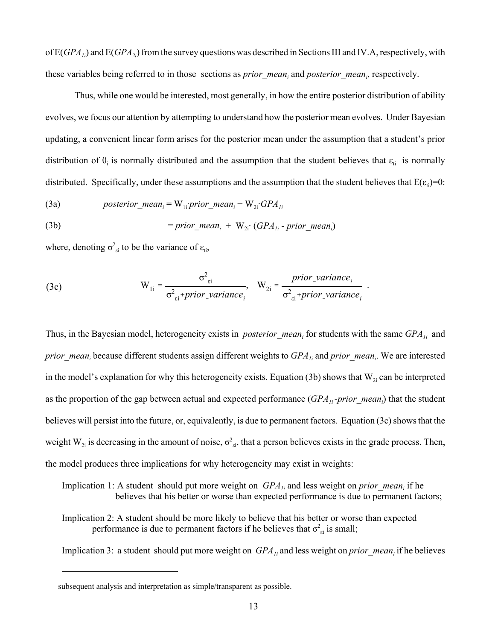of E(*GPA<sub>1i</sub>*) and E(*GPA<sub>2i</sub>*) from the survey questions was described in Sections III and IV.A, respectively, with these variables being referred to in those sections as *prior\_mean<sub>i</sub>* and *posterior\_mean<sub>i</sub>*, respectively.

Thus, while one would be interested, most generally, in how the entire posterior distribution of ability evolves, we focus our attention by attempting to understand how the posterior mean evolves. Under Bayesian updating, a convenient linear form arises for the posterior mean under the assumption that a student's prior distribution of  $\theta_i$  is normally distributed and the assumption that the student believes that  $\varepsilon_{ti}$  is normally distributed. Specifically, under these assumptions and the assumption that the student believes that  $E(\epsilon_{ti})=0$ :

(3a) 
$$
posterior\_mean_i = W_{1i}.prior\_mean_i + W_{2i}.GPA_{1i}
$$

(3b) = *prior\_meani* + W2i· (*GPA1i* - *prior\_meani* )

where, denoting  $\sigma_{\text{ei}}^2$  to be the variance of  $\varepsilon_{\text{ti}}$ ,

(3c) 
$$
W_{1i} = \frac{\sigma_{ei}^2}{\sigma_{ei}^2 + prior\_variance_i}, \quad W_{2i} = \frac{prior\_variance_i}{\sigma_{ei}^2 + prior\_variance_i}.
$$

Thus, in the Bayesian model, heterogeneity exists in *posterior\_mean<sub>i</sub>* for students with the same  $GPA_{1i}$  and *prior\_mean<sub>i</sub>* because different students assign different weights to  $GPA_{1i}$  and *prior\_mean<sub>i</sub>*. We are interested in the model's explanation for why this heterogeneity exists. Equation (3b) shows that  $W_{2i}$  can be interpreted as the proportion of the gap between actual and expected performance (*GPA<sub>1i</sub>-prior\_mean<sub>i</sub>*) that the student believes will persist into the future, or, equivalently, is due to permanent factors. Equation (3c) shows that the weight  $W_{2i}$  is decreasing in the amount of noise,  $\sigma_{zi}^2$ , that a person believes exists in the grade process. Then, the model produces three implications for why heterogeneity may exist in weights:

- Implication 1: A student should put more weight on  $GPA_{1i}$  and less weight on *prior\_mean<sub>i</sub>* if he believes that his better or worse than expected performance is due to permanent factors;
- Implication 2: A student should be more likely to believe that his better or worse than expected performance is due to permanent factors if he believes that  $\sigma_{ei}^2$  is small;

Implication 3: a student should put more weight on *GPA<sub>1i</sub>* and less weight on *prior\_mean<sub>i</sub>* if he believes

subsequent analysis and interpretation as simple/transparent as possible.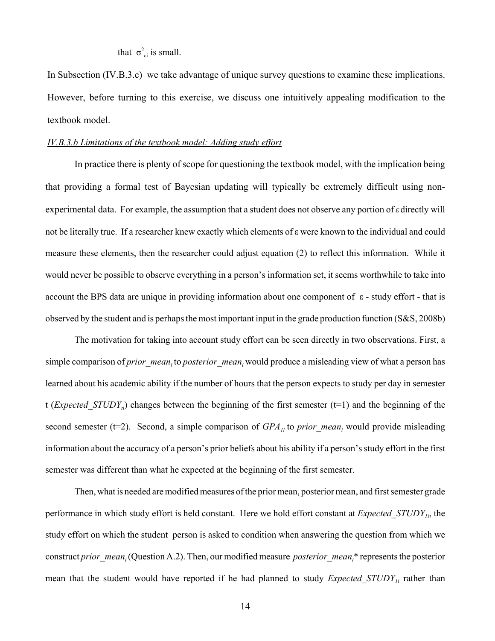that  $\sigma_{ei}^2$  is small.

In Subsection (IV.B.3.c) we take advantage of unique survey questions to examine these implications. However, before turning to this exercise, we discuss one intuitively appealing modification to the textbook model.

# *IV.B.3.b Limitations of the textbook model: Adding study effort*

In practice there is plenty of scope for questioning the textbook model, with the implication being that providing a formal test of Bayesian updating will typically be extremely difficult using nonexperimental data. For example, the assumption that a student does not observe any portion of *ε*directly will not be literally true. If a researcher knew exactly which elements of ε were known to the individual and could measure these elements, then the researcher could adjust equation (2) to reflect this information. While it would never be possible to observe everything in a person's information set, it seems worthwhile to take into account the BPS data are unique in providing information about one component of  $\varepsilon$  - study effort - that is observed by the student and is perhaps the most important input in the grade production function (S&S, 2008b)

The motivation for taking into account study effort can be seen directly in two observations. First, a simple comparison of *prior\_mean<sub>i</sub>* to *posterior\_mean<sub>i</sub>* would produce a misleading view of what a person has learned about his academic ability if the number of hours that the person expects to study per day in semester t (*Expected\_STUDY<sub>ii</sub>*) changes between the beginning of the first semester (t=1) and the beginning of the second semester (t=2). Second, a simple comparison of  $GPA_{1i}$  to *prior\_mean<sub>i</sub>* would provide misleading information about the accuracy of a person's prior beliefs about his ability if a person's study effort in the first semester was different than what he expected at the beginning of the first semester.

Then, what is needed are modified measures of the prior mean, posterior mean, and first semester grade performance in which study effort is held constant. Here we hold effort constant at *Expected\_STUDY1i*, the study effort on which the student person is asked to condition when answering the question from which we construct *prior\_mean<sub>i</sub>* (Question A.2). Then, our modified measure *posterior\_mean<sub>i</sub>*\* represents the posterior mean that the student would have reported if he had planned to study *Expected STUDY<sub>1i</sub>* rather than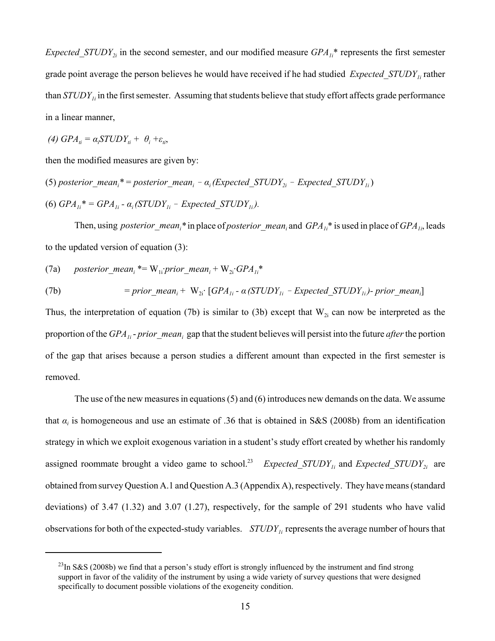*Expected\_STUDY*<sub>2*i*</sub> in the second semester, and our modified measure *GPA<sub>1i</sub>*\* represents the first semester grade point average the person believes he would have received if he had studied *Expected\_STUDY1i* rather than *STUDY<sub>1i</sub>* in the first semester. Assuming that students believe that study effort affects grade performance in a linear manner,

$$
(4) GPA_{ti} = \alpha_i STUDY_{ti} + \theta_i + \varepsilon_{ti},
$$

then the modified measures are given by:

(5) posterior\_mean<sub>i</sub>\* = posterior\_mean<sub>i</sub> - 
$$
\alpha_i
$$
 (Expected\_STUDY<sub>2i</sub> - Expected\_STUDY<sub>1i</sub>)  
(6)  $GPA_{1i}$ \* =  $GPA_{1i}$  -  $\alpha_i$  (STUDY<sub>1i</sub> - Expected\_STUDY<sub>1i</sub>).

Then, using *posterior\_mean<sub>i</sub>*\* in place of *posterior\_mean<sub>i</sub>* and *GPA<sub>1i</sub>*\* is used in place of *GPA<sub>1i</sub>*, leads to the updated version of equation (3):

(7a) *posterior\_meani* \*= W1i·*prior\_meani* + W2i·*GPA1i* \*

(7b) = prior\_mean<sub>i</sub> + W<sub>2i</sub>: 
$$
[GPA_{1i} - \alpha (STUDY_{1i} - Expected\_STUDY_{1i}) - prior\_mean_i]
$$

Thus, the interpretation of equation (7b) is similar to (3b) except that  $W_{2i}$  can now be interpreted as the proportion of the *GPA<sub>1i</sub>*-prior\_mean<sub>i</sub> gap that the student believes will persist into the future *after* the portion of the gap that arises because a person studies a different amount than expected in the first semester is removed.

The use of the new measures in equations (5) and (6) introduces new demands on the data. We assume that  $\alpha_i$  is homogeneous and use an estimate of .36 that is obtained in S&S (2008b) from an identification strategy in which we exploit exogenous variation in a student's study effort created by whether his randomly assigned roommate brought a video game to school.<sup>23</sup> *Expected STUDY<sub>1i</sub>* and *Expected STUDY<sub>2i</sub>* are obtained from survey Question A.1 and Question A.3 (Appendix A), respectively. They have means (standard deviations) of 3.47 (1.32) and 3.07 (1.27), respectively, for the sample of 291 students who have valid observations for both of the expected-study variables. *STUDY<sub>1i</sub>* represents the average number of hours that

 $^{23}$ In S&S (2008b) we find that a person's study effort is strongly influenced by the instrument and find strong support in favor of the validity of the instrument by using a wide variety of survey questions that were designed specifically to document possible violations of the exogeneity condition.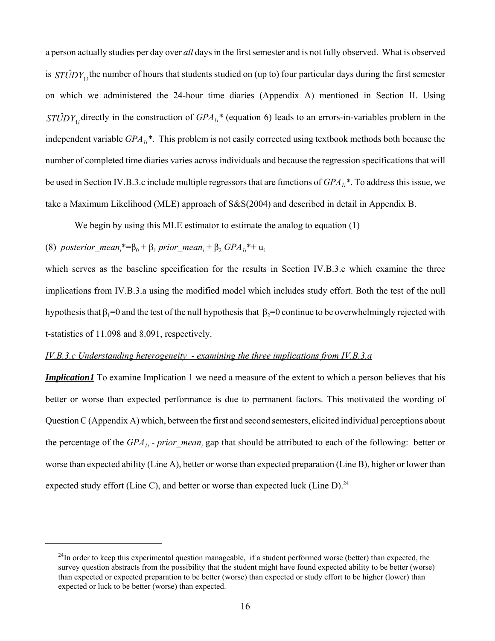a person actually studies per day over *all* days in the first semester and is not fully observed. What is observed is  $ST\hat{U}DY_{1i}$  the number of hours that students studied on (up to) four particular days during the first semester on which we administered the 24-hour time diaries (Appendix A) mentioned in Section II. Using  $STCDY_{1i}$  directly in the construction of  $GPA_{1i}$ <sup>\*</sup> (equation 6) leads to an errors-in-variables problem in the independent variable *GPA1i \**. This problem is not easily corrected using textbook methods both because the number of completed time diaries varies across individuals and because the regression specifications that will be used in Section IV.B.3.c include multiple regressors that are functions of  $GPA_{li}$ <sup>\*</sup>. To address this issue, we take a Maximum Likelihood (MLE) approach of S&S(2004) and described in detail in Appendix B.

We begin by using this MLE estimator to estimate the analog to equation (1)

# (8) *posterior\_mean<sub>i</sub>*\*=β<sub>0</sub> + β<sub>1</sub> *prior\_mean<sub>i</sub>* + β<sub>2</sub> *GPA<sub>1i</sub>*\*+ u<sub>i</sub>

which serves as the baseline specification for the results in Section IV.B.3.c which examine the three implications from IV.B.3.a using the modified model which includes study effort. Both the test of the null hypothesis that  $\beta_1=0$  and the test of the null hypothesis that  $\beta_2=0$  continue to be overwhelmingly rejected with t-statistics of 11.098 and 8.091, respectively.

# *IV.B.3.c Understanding heterogeneity - examining the three implications from IV.B.3.a*

*Implication1* To examine Implication 1 we need a measure of the extent to which a person believes that his better or worse than expected performance is due to permanent factors. This motivated the wording of Question C (Appendix A) which, between the first and second semesters, elicited individual perceptions about the percentage of the *GPA<sub>1i</sub>* - *prior\_mean<sub>i</sub>* gap that should be attributed to each of the following: better or worse than expected ability (Line A), better or worse than expected preparation (Line B), higher or lower than expected study effort (Line C), and better or worse than expected luck (Line D).<sup>24</sup>

<sup>&</sup>lt;sup>24</sup>In order to keep this experimental question manageable, if a student performed worse (better) than expected, the survey question abstracts from the possibility that the student might have found expected ability to be better (worse) than expected or expected preparation to be better (worse) than expected or study effort to be higher (lower) than expected or luck to be better (worse) than expected.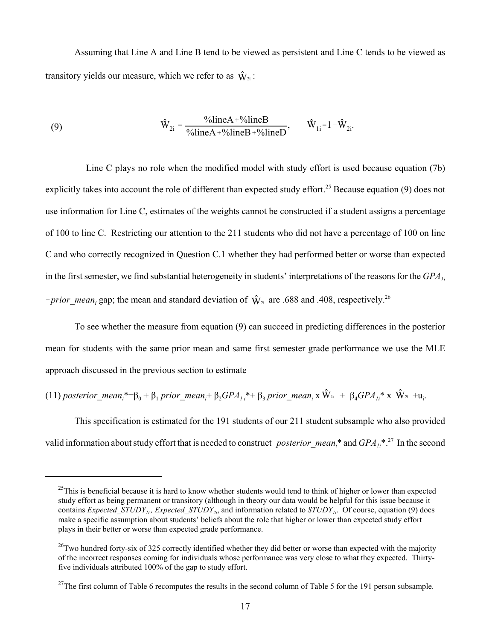Assuming that Line A and Line B tend to be viewed as persistent and Line C tends to be viewed as transitory yields our measure, which we refer to as  $\hat{W}_{2i}$ :

(9) 
$$
\hat{W}_{2i} = \frac{\% \text{line} A + \% \text{line} B}{\% \text{line} A + \% \text{line} B + \% \text{line} D}, \qquad \hat{W}_{1i} = 1 - \hat{W}_{2i}.
$$

 Line C plays no role when the modified model with study effort is used because equation (7b) explicitly takes into account the role of different than expected study effort.<sup>25</sup> Because equation (9) does not use information for Line C, estimates of the weights cannot be constructed if a student assigns a percentage of 100 to line C. Restricting our attention to the 211 students who did not have a percentage of 100 on line C and who correctly recognized in Question C.1 whether they had performed better or worse than expected in the first semester, we find substantial heterogeneity in students' interpretations of the reasons for the *GPA*<sub>1i</sub> *-prior\_mean<sub>i</sub>* gap; the mean and standard deviation of  $\hat{W}_{2i}$  are .688 and .408, respectively.<sup>26</sup>

To see whether the measure from equation (9) can succeed in predicting differences in the posterior mean for students with the same prior mean and same first semester grade performance we use the MLE approach discussed in the previous section to estimate

(11) posterior\_mean<sub>i</sub>\*= $\beta_0 + \beta_1$  prior\_mean<sub>i</sub>+  $\beta_2 GPA_{1i}$ \*+  $\beta_3$  prior\_mean<sub>i</sub> x  $\hat{W}_{1i} + \beta_4 GPA_{1i}$ \* x  $\hat{W}_{2i}$  +u<sub>i</sub>.

This specification is estimated for the 191 students of our 211 student subsample who also provided valid information about study effort that is needed to construct *posterior\_mean<sub>i</sub>*\* and *GPA<sub>1i</sub>*\*.<sup>27</sup> In the second

 $^{25}$ This is beneficial because it is hard to know whether students would tend to think of higher or lower than expected study effort as being permanent or transitory (although in theory our data would be helpful for this issue because it contains *Expected\_STUDY<sub>1i</sub>, Expected\_STUDY<sub>2i</sub>*, and information related to *STUDY<sub>1i</sub>*. Of course, equation (9) does make a specific assumption about students' beliefs about the role that higher or lower than expected study effort plays in their better or worse than expected grade performance.

 $^{26}$ Two hundred forty-six of 325 correctly identified whether they did better or worse than expected with the majority of the incorrect responses coming for individuals whose performance was very close to what they expected. Thirtyfive individuals attributed 100% of the gap to study effort.

<sup>&</sup>lt;sup>27</sup>The first column of Table 6 recomputes the results in the second column of Table 5 for the 191 person subsample.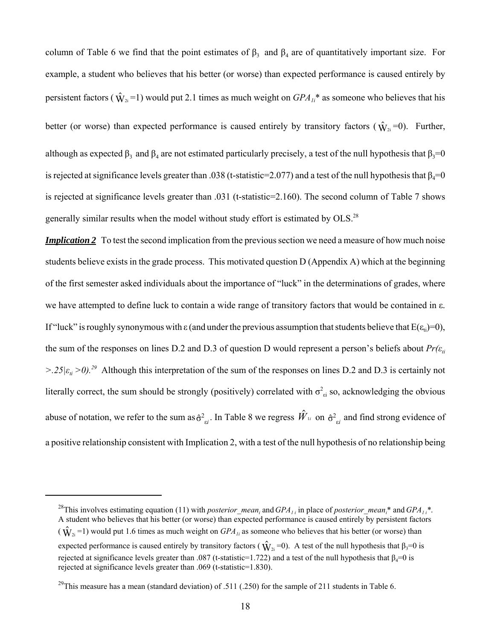column of Table 6 we find that the point estimates of  $\beta_3$  and  $\beta_4$  are of quantitatively important size. For example, a student who believes that his better (or worse) than expected performance is caused entirely by persistent factors ( $\hat{W}_{2i}$ =1) would put 2.1 times as much weight on  $GPA_{1i}^*$  as someone who believes that his better (or worse) than expected performance is caused entirely by transitory factors ( $\hat{W}_{2i}$ =0). Further, although as expected  $\beta_3$  and  $\beta_4$  are not estimated particularly precisely, a test of the null hypothesis that  $\beta_3=0$ is rejected at significance levels greater than .038 (t-statistic=2.077) and a test of the null hypothesis that  $\beta_4=0$ is rejected at significance levels greater than .031 (t-statistic=2.160). The second column of Table 7 shows generally similar results when the model without study effort is estimated by OLS.28

*Implication 2* To test the second implication from the previous section we need a measure of how much noise students believe exists in the grade process. This motivated question D (Appendix A) which at the beginning of the first semester asked individuals about the importance of "luck" in the determinations of grades, where we have attempted to define luck to contain a wide range of transitory factors that would be contained in ε. If "luck" is roughly synonymous with ε (and under the previous assumption that students believe that  $E(\varepsilon_i)=0$ ), the sum of the responses on lines D.2 and D.3 of question D would represent a person's beliefs about  $Pr(\varepsilon$ <sup>*ti*</sup>  $>$ .25 $|\varepsilon_i > 0$ .<sup>29</sup> Although this interpretation of the sum of the responses on lines D.2 and D.3 is certainly not literally correct, the sum should be strongly (positively) correlated with  $\sigma_{ei}^2$  so, acknowledging the obvious abuse of notation, we refer to the sum as  $\hat{\sigma}_{ei}^2$ . In Table 8 we regress  $\hat{W}_{1i}$  on  $\hat{\sigma}_{ei}^2$  and find strong evidence of a positive relationship consistent with Implication 2, with a test of the null hypothesis of no relationship being

<sup>&</sup>lt;sup>28</sup>This involves estimating equation (11) with *posterior\_mean<sub>i</sub>* and  $GPA_{1i}$  in place of *posterior\_mean<sub>i</sub>*\* and  $GPA_{1i}$ <sup>\*</sup>. A student who believes that his better (or worse) than expected performance is caused entirely by persistent factors  $(\hat{W}_{2i} = 1)$  would put 1.6 times as much weight on  $GPA_{1i}$  as someone who believes that his better (or worse) than expected performance is caused entirely by transitory factors ( $\hat{W}_{2i}$ =0). A test of the null hypothesis that  $\beta_3=0$  is rejected at significance levels greater than .087 (t-statistic=1.722) and a test of the null hypothesis that  $\beta_4=0$  is rejected at significance levels greater than .069 (t-statistic=1.830).

<sup>&</sup>lt;sup>29</sup>This measure has a mean (standard deviation) of .511 (.250) for the sample of 211 students in Table 6.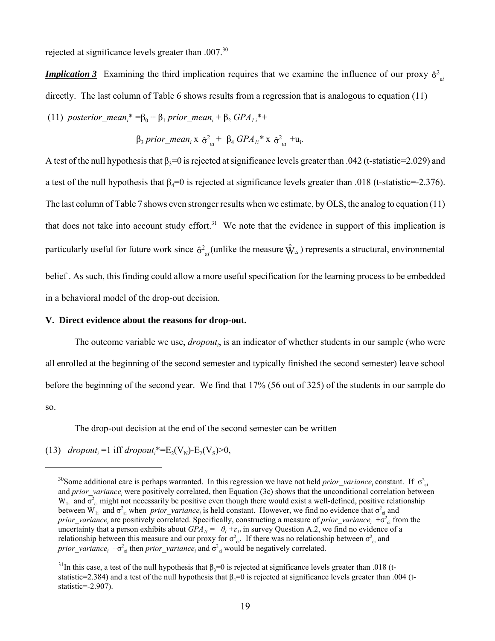rejected at significance levels greater than .007.<sup>30</sup>

*Implication 3* Examining the third implication requires that we examine the influence of our proxy  $\hat{\sigma}^2_{ei}$ directly. The last column of Table 6 shows results from a regression that is analogous to equation (11)

(11) *posterior\_mean<sub>i</sub>*\*=β<sub>0</sub> + β<sub>1</sub> *prior\_mean<sub>i</sub>* + β<sub>2</sub> *GPA<sub>1i</sub>*\*+

$$
\beta_3 prior\_mean_i \times \hat{\sigma}_{ei}^2 + \beta_4 GPA_{li}^* \times \hat{\sigma}_{ei}^2 + u_i.
$$

A test of the null hypothesis that  $\beta_3=0$  is rejected at significance levels greater than .042 (t-statistic=2.029) and a test of the null hypothesis that  $\beta_4=0$  is rejected at significance levels greater than .018 (t-statistic=-2.376). The last column of Table 7 shows even stronger results when we estimate, by OLS, the analog to equation (11) that does not take into account study effort.<sup>31</sup> We note that the evidence in support of this implication is particularly useful for future work since  $\hat{\sigma}^2_{ei}$  (unlike the measure  $\hat{W}_{2i}$ ) represents a structural, environmental belief . As such, this finding could allow a more useful specification for the learning process to be embedded in a behavioral model of the drop-out decision.

### **V. Direct evidence about the reasons for drop-out.**

The outcome variable we use, *dropout<sub>i</sub>*, is an indicator of whether students in our sample (who were all enrolled at the beginning of the second semester and typically finished the second semester) leave school before the beginning of the second year. We find that 17% (56 out of 325) of the students in our sample do so.

The drop-out decision at the end of the second semester can be written

(13) *dropout<sub>i</sub>* = 1 iff *dropout*<sub>i</sub><sup>\*</sup> =  $E_2(V_N)$ - $E_2(V_S)$ >0,

<sup>&</sup>lt;sup>30</sup>Some additional care is perhaps warranted. In this regression we have not held *prior\_variance<sub>i</sub>* constant. If  $\sigma_{ei}^2$ and *prior\_variance<sub>i</sub>* were positively correlated, then Equation (3c) shows that the unconditional correlation between  $W_{1i}$  and  $\sigma^2_{\rm ei}$  might not necessarily be positive even though there would exist a well-defined, positive relationship between W<sub>1i</sub> and  $\sigma_{ei}^2$  when *prior\_variance<sub>i</sub>* is held constant. However, we find no evidence that  $\sigma_{ei}^2$  and *prior\_variance<sub>i</sub>* are positively correlated. Specifically, constructing a measure of *prior\_variance<sub>i</sub>* +σ<sup>2</sup><sub>εi</sub> from the uncertainty that a person exhibits about  $GPA_{1i} = \theta_i + \varepsilon_{1i}$  in survey Question A.2, we find no evidence of a relationship between this measure and our proxy for  $\sigma_{zi}^2$ . If there was no relationship between  $\sigma_{zi}^2$  and *prior\_variance*<sub>*i*</sub> + $\sigma_{ei}^2$  then *prior\_variance<sub>i</sub>* and  $\sigma_{ei}^2$  would be negatively correlated.

<sup>&</sup>lt;sup>31</sup>In this case, a test of the null hypothesis that  $\beta_3=0$  is rejected at significance levels greater than .018 (tstatistic=2.384) and a test of the null hypothesis that  $\beta_4=0$  is rejected at significance levels greater than .004 (tstatistic=-2.907).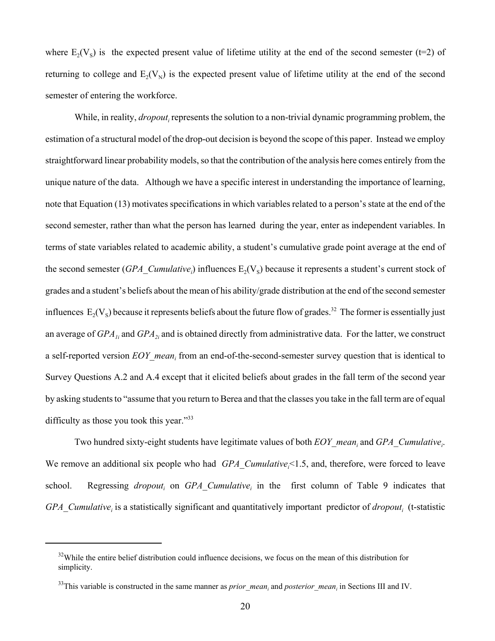where  $E_2(V_s)$  is the expected present value of lifetime utility at the end of the second semester (t=2) of returning to college and  $E_2(V_N)$  is the expected present value of lifetime utility at the end of the second semester of entering the workforce.

While, in reality, *dropout*<sub>i</sub> represents the solution to a non-trivial dynamic programming problem, the estimation of a structural model of the drop-out decision is beyond the scope of this paper. Instead we employ straightforward linear probability models, so that the contribution of the analysis here comes entirely from the unique nature of the data. Although we have a specific interest in understanding the importance of learning, note that Equation (13) motivates specifications in which variables related to a person's state at the end of the second semester, rather than what the person has learned during the year, enter as independent variables. In terms of state variables related to academic ability, a student's cumulative grade point average at the end of the second semester  $(GPA\_Cumulative_i)$  influences  $E_2(V_s)$  because it represents a student's current stock of grades and a student's beliefs about the mean of his ability/grade distribution at the end of the second semester influences  $E_2(V_s)$  because it represents beliefs about the future flow of grades.<sup>32</sup> The former is essentially just an average of *GPA<sub>1i</sub>* and *GPA<sub>2i</sub>* and is obtained directly from administrative data. For the latter, we construct a self-reported version  $EOY_mean_i$  from an end-of-the-second-semester survey question that is identical to Survey Questions A.2 and A.4 except that it elicited beliefs about grades in the fall term of the second year by asking students to "assume that you return to Berea and that the classes you take in the fall term are of equal difficulty as those you took this year."<sup>33</sup>

Two hundred sixty-eight students have legitimate values of both  $EOY_{\perp}$  mean<sub>i</sub> and  $GPA_{\perp}$ *Cumulative<sub>i</sub>*. We remove an additional six people who had *GPA\_Cumulative<sub>i</sub>*<1.5, and, therefore, were forced to leave school. Regressing *dropout<sub>i</sub>* on *GPA\_Cumulative<sub>i</sub>* in the first column of Table 9 indicates that GPA\_Cumulative<sub>i</sub> is a statistically significant and quantitatively important predictor of *dropout*<sub>i</sub> (t-statistic

<sup>&</sup>lt;sup>32</sup>While the entire belief distribution could influence decisions, we focus on the mean of this distribution for simplicity.

 $33$ This variable is constructed in the same manner as *prior\_mean<sub>i</sub>* and *posterior\_mean<sub>i</sub>* in Sections III and IV.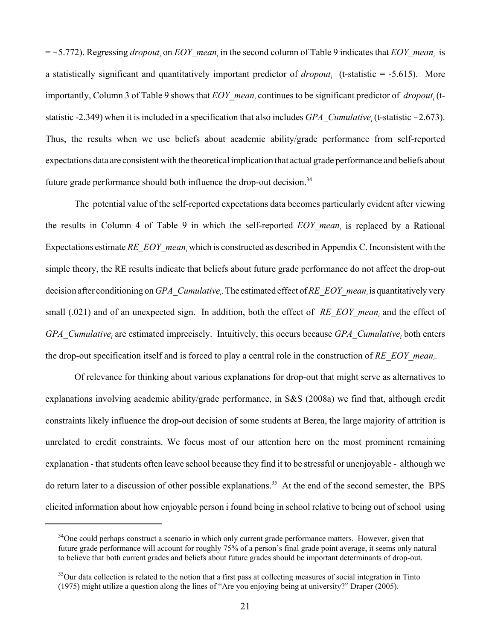= -5.772). Regressing *dropout<sub>i</sub>* on *EOY\_mean<sub>i</sub>* in the second column of Table 9 indicates that *EOY\_mean<sub>i</sub>* is a statistically significant and quantitatively important predictor of *dropout<sub>i</sub>* (t-statistic = -5.615). More importantly, Column 3 of Table 9 shows that  $EOY_{\perp}$  mean<sub>i</sub> continues to be significant predictor of *dropout*<sub>i</sub> (tstatistic -2.349) when it is included in a specification that also includes  $GPA\_Cumulative_i$  (t-statistic -2.673). Thus, the results when we use beliefs about academic ability/grade performance from self-reported expectations data are consistent with the theoretical implication that actual grade performance and beliefs about future grade performance should both influence the drop-out decision.<sup>34</sup>

The potential value of the self-reported expectations data becomes particularly evident after viewing the results in Column 4 of Table 9 in which the self-reported  $EOY_m$  is replaced by a Rational Expectations estimate  $RE\_EOY\_mean_i$ , which is constructed as described in Appendix C. Inconsistent with the simple theory, the RE results indicate that beliefs about future grade performance do not affect the drop-out decision after conditioning on *GPA\_Cumulative<sub>i</sub>*. The estimated effect of *RE\_EOY\_mean<sub>i</sub>* is quantitatively very small (.021) and of an unexpected sign. In addition, both the effect of *RE\_EOY\_mean<sub>i</sub>* and the effect of *GPA\_Cumulative<sub>i</sub>* are estimated imprecisely. Intuitively, this occurs because *GPA\_Cumulative*<sub>i</sub> both enters the drop-out specification itself and is forced to play a central role in the construction of  $RE\_EOY\_mean_i$ .

Of relevance for thinking about various explanations for drop-out that might serve as alternatives to explanations involving academic ability/grade performance, in S&S (2008a) we find that, although credit constraints likely influence the drop-out decision of some students at Berea, the large majority of attrition is unrelated to credit constraints. We focus most of our attention here on the most prominent remaining explanation - that students often leave school because they find it to be stressful or unenjoyable - although we do return later to a discussion of other possible explanations.<sup>35</sup> At the end of the second semester, the BPS elicited information about how enjoyable person i found being in school relative to being out of school using

<sup>&</sup>lt;sup>34</sup>One could perhaps construct a scenario in which only current grade performance matters. However, given that future grade performance will account for roughly 75% of a person's final grade point average, it seems only natural to believe that both current grades and beliefs about future grades should be important determinants of drop-out.

<sup>&</sup>lt;sup>35</sup>Our data collection is related to the notion that a first pass at collecting measures of social integration in Tinto (1975) might utilize a question along the lines of "Are you enjoying being at university?" Draper (2005).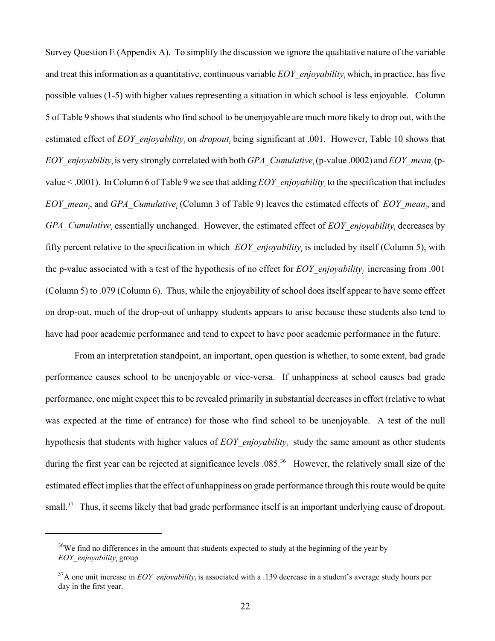Survey Question E (Appendix A). To simplify the discussion we ignore the qualitative nature of the variable and treat this information as a quantitative, continuous variable *EOY\_enjoyabilityi* which, in practice, has five possible values (1-5) with higher values representing a situation in which school is less enjoyable. Column 5 of Table 9 shows that students who find school to be unenjoyable are much more likely to drop out, with the estimated effect of  $EOY_{\text{e}}$ *enjoyability<sub>i</sub>* on *dropout<sub>i</sub>* being significant at .001. However, Table 10 shows that *EOY\_enjoyability<sub>i</sub>* is very strongly correlated with both *GPA\_Cumulative<sub>i</sub>* (p-value .0002) and *EOY\_mean<sub>i</sub>* (pvalue < .0001). In Column 6 of Table 9 we see that adding  $EOY_{\text{S}}$  *enjoyability<sub>i</sub>* to the specification that includes *EOY\_mean<sub>i</sub>*, and *GPA\_Cumulative<sub>i</sub>* (Column 3 of Table 9) leaves the estimated effects of *EOY\_mean<sub>i</sub>*, and *GPA\_Cumulative<sub>i</sub>* essentially unchanged. However, the estimated effect of *EOY\_enjoyability<sub>i</sub>* decreases by fifty percent relative to the specification in which  $EOY_{\text{S}}$ *enjoyability<sub>i</sub>* is included by itself (Column 5), with the p-value associated with a test of the hypothesis of no effect for *EOY\_enjoyabilityi* increasing from .001 (Column 5) to .079 (Column 6). Thus, while the enjoyability of school does itself appear to have some effect on drop-out, much of the drop-out of unhappy students appears to arise because these students also tend to have had poor academic performance and tend to expect to have poor academic performance in the future.

From an interpretation standpoint, an important, open question is whether, to some extent, bad grade performance causes school to be unenjoyable or vice-versa. If unhappiness at school causes bad grade performance, one might expect this to be revealed primarily in substantial decreases in effort (relative to what was expected at the time of entrance) for those who find school to be unenjoyable. A test of the null hypothesis that students with higher values of  $EOY_{\text{S}}$ *enjoyability<sub>i</sub>* study the same amount as other students during the first year can be rejected at significance levels .085<sup>36</sup> However, the relatively small size of the estimated effect implies that the effect of unhappiness on grade performance through this route would be quite small.<sup>37</sup> Thus, it seems likely that bad grade performance itself is an important underlying cause of dropout.

 $36$ We find no differences in the amount that students expected to study at the beginning of the year by *EOY\_enjoyabilityi* group

<sup>&</sup>lt;sup>37</sup>A one unit increase in  $EOY$ <sub>\_</sub>enjoyability<sub>i</sub> is associated with a .139 decrease in a student's average study hours per day in the first year.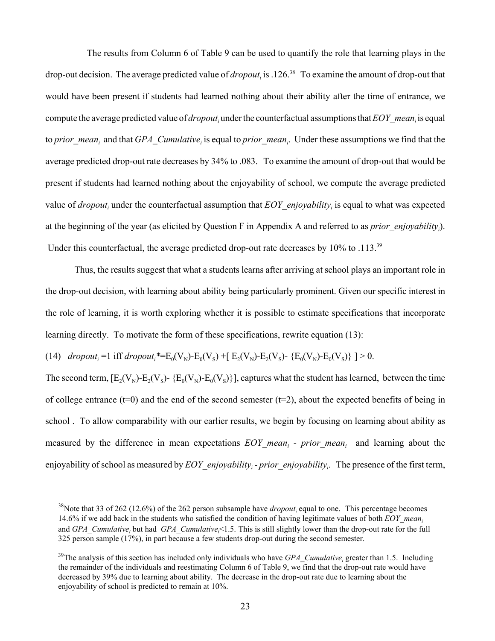The results from Column 6 of Table 9 can be used to quantify the role that learning plays in the drop-out decision. The average predicted value of *dropout<sub>i</sub>* is .126.<sup>38</sup> To examine the amount of drop-out that would have been present if students had learned nothing about their ability after the time of entrance, we compute the average predicted value of *dropout*<sub>i</sub> under the counterfactual assumptions that  $EOY$ <sub>\_</sub>mean<sub>i</sub> is equal to *prior\_mean<sub>i</sub>* and that *GPA\_Cumulative<sub>i</sub>* is equal to *prior\_mean<sub>i</sub>*. Under these assumptions we find that the average predicted drop-out rate decreases by 34% to .083. To examine the amount of drop-out that would be present if students had learned nothing about the enjoyability of school, we compute the average predicted value of *dropout<sub>i</sub>* under the counterfactual assumption that  $EOY_{\text{S}}$  *enjoyability<sub>i</sub>* is equal to what was expected at the beginning of the year (as elicited by Question F in Appendix A and referred to as *prior\_enjoyabilityi* ). Under this counterfactual, the average predicted drop-out rate decreases by  $10\%$  to  $.113^{39}$ 

Thus, the results suggest that what a students learns after arriving at school plays an important role in the drop-out decision, with learning about ability being particularly prominent. Given our specific interest in the role of learning, it is worth exploring whether it is possible to estimate specifications that incorporate learning directly. To motivate the form of these specifications, rewrite equation (13):

(14)  $\text{dropout}_i = 1 \text{ iff } \text{ dropout}_i^* = E_0(V_N) - E_0(V_S) + [ E_2(V_N) - E_2(V_S) - \{E_0(V_N) - E_0(V_S)\} ] > 0.$ 

The second term,  $[E_2(V_N)-E_2(V_S)-\{E_0(V_N)-E_0(V_S)\}]$ , captures what the student has learned, between the time of college entrance ( $t=0$ ) and the end of the second semester ( $t=2$ ), about the expected benefits of being in school . To allow comparability with our earlier results, we begin by focusing on learning about ability as measured by the difference in mean expectations  $EOY_m$  mean<sub>i</sub> - prior mean<sub>i</sub> and learning about the enjoyability of school as measured by  $EOY_{\text{}}$ *enjoyability<sub>i</sub>*-prior\_enjoyability<sub>i</sub>. The presence of the first term,

<sup>&</sup>lt;sup>38</sup>Note that 33 of 262 (12.6%) of the 262 person subsample have *dropout<sub>i</sub>* equal to one. This percentage becomes 14.6% if we add back in the students who satisfied the condition of having legitimate values of both *EOY\_meani* and *GPA\_Cumulative<sub>i</sub>* but had *GPA\_Cumulative<sub>i</sub><1.5.* This is still slightly lower than the drop-out rate for the full 325 person sample (17%), in part because a few students drop-out during the second semester.

<sup>&</sup>lt;sup>39</sup>The analysis of this section has included only individuals who have  $GPA\_Cumulative_i$  greater than 1.5. Including the remainder of the individuals and reestimating Column 6 of Table 9, we find that the drop-out rate would have decreased by 39% due to learning about ability. The decrease in the drop-out rate due to learning about the enjoyability of school is predicted to remain at 10%.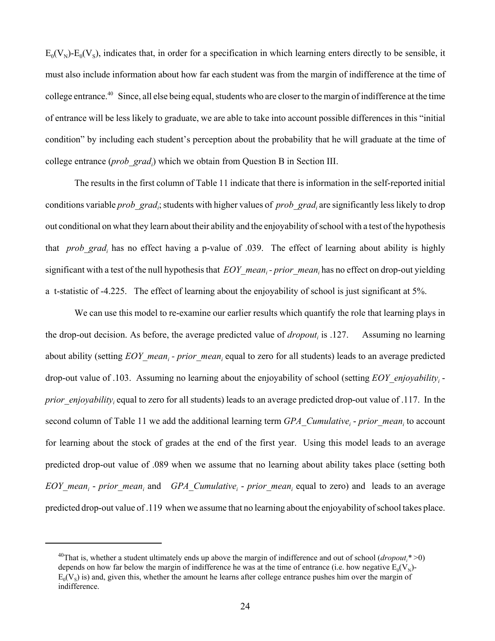$E_0(V_N)-E_0(V_S)$ , indicates that, in order for a specification in which learning enters directly to be sensible, it must also include information about how far each student was from the margin of indifference at the time of college entrance.40 Since, all else being equal, students who are closer to the margin of indifference at the time of entrance will be less likely to graduate, we are able to take into account possible differences in this "initial condition" by including each student's perception about the probability that he will graduate at the time of college entrance (*prob\_gradi* ) which we obtain from Question B in Section III.

The results in the first column of Table 11 indicate that there is information in the self-reported initial conditions variable *prob\_grad<sub>i</sub>*; students with higher values of *prob\_grad<sub>i</sub>* are significantly less likely to drop out conditional on what they learn about their ability and the enjoyability of school with a test of the hypothesis that *prob\_grad<sub>i</sub>* has no effect having a p-value of .039. The effect of learning about ability is highly significant with a test of the null hypothesis that  $EOY\_mean_i$ -prior\_mean<sub>i</sub> has no effect on drop-out yielding a t-statistic of -4.225. The effect of learning about the enjoyability of school is just significant at 5%.

We can use this model to re-examine our earlier results which quantify the role that learning plays in the drop-out decision. As before, the average predicted value of *dropout*, is .127. Assuming no learning about ability (setting  $EOY\_mean_i$  - *prior\_mean<sub>i</sub>* equal to zero for all students) leads to an average predicted drop-out value of .103. Assuming no learning about the enjoyability of school (setting *EOY\_enjoyabilityi prior\_enjoyability<sub>i</sub>* equal to zero for all students) leads to an average predicted drop-out value of .117. In the second column of Table 11 we add the additional learning term *GPA\_Cumulative<sub>i</sub>* - *prior\_mean<sub>i</sub>* to account for learning about the stock of grades at the end of the first year. Using this model leads to an average predicted drop-out value of .089 when we assume that no learning about ability takes place (setting both  $EOY_m$ ean<sub>i</sub> - *prior\_mean<sub>i</sub>* and *GPA\_Cumulative<sub>i</sub>* - *prior\_mean<sub>i</sub>* equal to zero) and leads to an average predicted drop-out value of .119 when we assume that no learning about the enjoyability of school takes place.

<sup>&</sup>lt;sup>40</sup>That is, whether a student ultimately ends up above the margin of indifference and out of school (*dropout*<sub>i</sub><sup>\*</sup>>0) depends on how far below the margin of indifference he was at the time of entrance (i.e. how negative  $E_0(V_N)$ - $E_0(V_s)$  is) and, given this, whether the amount he learns after college entrance pushes him over the margin of indifference.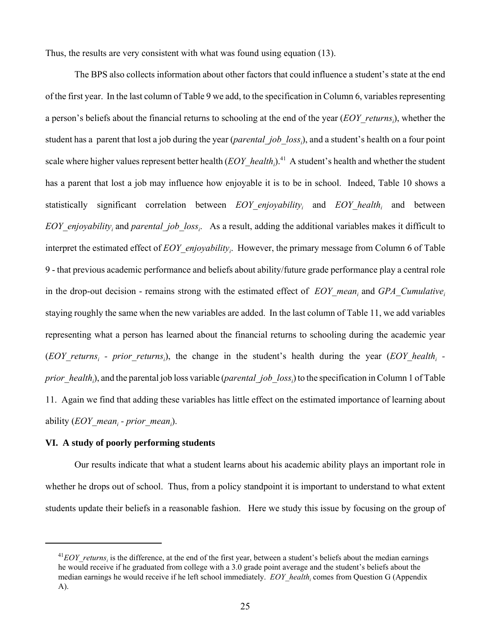Thus, the results are very consistent with what was found using equation (13).

The BPS also collects information about other factors that could influence a student's state at the end of the first year. In the last column of Table 9 we add, to the specification in Column 6, variables representing a person's beliefs about the financial returns to schooling at the end of the year (*EOY\_returnsi* ), whether the student has a parent that lost a job during the year (*parental\_job\_loss<sub>i</sub>*), and a student's health on a four point scale where higher values represent better health (*EOY\_health*<sub>i</sub>).<sup>41</sup> A student's health and whether the student has a parent that lost a job may influence how enjoyable it is to be in school. Indeed, Table 10 shows a statistically significant correlation between *EOY\_enjoyability<sub>i</sub>* and *EOY\_health<sub>i</sub>* and between *EOY\_enjoyability<sub>i</sub>* and *parental\_job\_loss<sub>i</sub>*. As a result, adding the additional variables makes it difficult to interpret the estimated effect of *EOY\_enjoyabilityi* . However, the primary message from Column 6 of Table 9 - that previous academic performance and beliefs about ability/future grade performance play a central role in the drop-out decision - remains strong with the estimated effect of *EOY* mean<sub>i</sub> and *GPA* Cumulative<sub>i</sub> staying roughly the same when the new variables are added. In the last column of Table 11, we add variables representing what a person has learned about the financial returns to schooling during the academic year  $(EOY_{i}$  returns<sub>i</sub> - prior returns<sub>i</sub>), the change in the student's health during the year  $(EOY_{i})$  realth<sub>i</sub> *prior\_health<sub>i</sub>*), and the parental job loss variable (*parental\_job\_loss<sub>i</sub>*) to the specification in Column 1 of Table 11. Again we find that adding these variables has little effect on the estimated importance of learning about ability (*EOY\_mean<sub>i</sub>* - *prior\_mean<sub>i</sub>*).

### **VI. A study of poorly performing students**

Our results indicate that what a student learns about his academic ability plays an important role in whether he drops out of school. Thus, from a policy standpoint it is important to understand to what extent students update their beliefs in a reasonable fashion. Here we study this issue by focusing on the group of

 $^{41}$ *EOY\_returns<sub>i</sub>* is the difference, at the end of the first year, between a student's beliefs about the median earnings he would receive if he graduated from college with a 3.0 grade point average and the student's beliefs about the median earnings he would receive if he left school immediately.  $EOY_{\_}$ *health<sub>i</sub>* comes from Question G (Appendix A).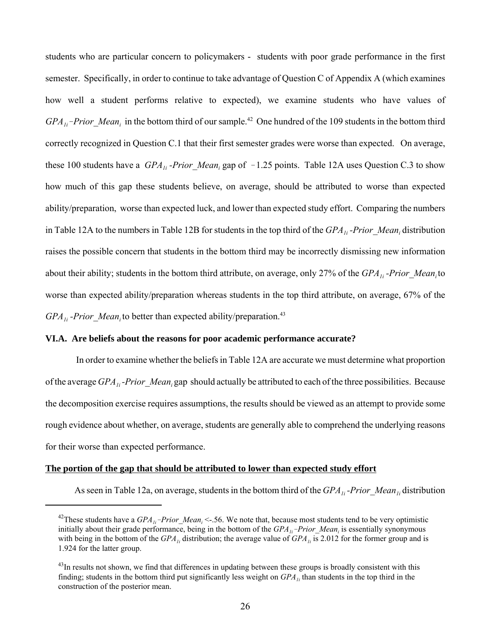students who are particular concern to policymakers - students with poor grade performance in the first semester. Specifically, in order to continue to take advantage of Question C of Appendix A (which examines how well a student performs relative to expected), we examine students who have values of *GPA<sub>1i</sub>*-*Prior\_Mean<sub>i</sub>* in the bottom third of our sample.<sup>42</sup> One hundred of the 109 students in the bottom third correctly recognized in Question C.1 that their first semester grades were worse than expected. On average, these 100 students have a  $GPA_{1i}$ -Prior\_Mean<sub>i</sub> gap of  $-1.25$  points. Table 12A uses Question C.3 to show how much of this gap these students believe, on average, should be attributed to worse than expected ability/preparation, worse than expected luck, and lower than expected study effort. Comparing the numbers in Table 12A to the numbers in Table 12B for students in the top third of the *GPA<sub>1i</sub>*-Prior\_Mean<sub>i</sub> distribution raises the possible concern that students in the bottom third may be incorrectly dismissing new information about their ability; students in the bottom third attribute, on average, only 27% of the *GPA<sub>1i</sub>*-Prior Mean<sub>i</sub> to worse than expected ability/preparation whereas students in the top third attribute, on average, 67% of the *GPA<sub>1i</sub>* -*Prior Mean<sub>i</sub>* to better than expected ability/preparation.<sup>43</sup>

# **VI.A. Are beliefs about the reasons for poor academic performance accurate?**

 In order to examine whether the beliefs in Table 12A are accurate we must determine what proportion of the average *GPA<sub>1i</sub>*-Prior\_Mean<sub>i</sub> gap should actually be attributed to each of the three possibilities. Because the decomposition exercise requires assumptions, the results should be viewed as an attempt to provide some rough evidence about whether, on average, students are generally able to comprehend the underlying reasons for their worse than expected performance.

### **The portion of the gap that should be attributed to lower than expected study effort**

As seen in Table 12a, on average, students in the bottom third of the *GPA<sub>1i</sub>*-Prior\_Mean<sub>1i</sub> distribution

<sup>&</sup>lt;sup>42</sup>These students have a  $GPA_{1i}$ -*Prior\_Mean<sub>i</sub>* < -.56. We note that, because most students tend to be very optimistic initially about their grade performance, being in the bottom of the *GPA<sub>1i</sub>*-Prior\_Mean<sub>i</sub> is essentially synonymous with being in the bottom of the  $GPA_{1i}$  distribution; the average value of  $GPA_{1i}$  is 2.012 for the former group and is 1.924 for the latter group.

 $43$ In results not shown, we find that differences in updating between these groups is broadly consistent with this finding; students in the bottom third put significantly less weight on  $GPA_{1i}$  than students in the top third in the construction of the posterior mean.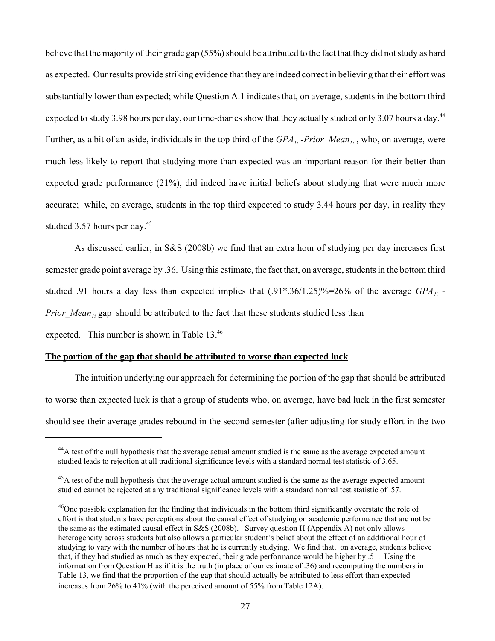believe that the majority of their grade gap (55%) should be attributed to the fact that they did not study as hard as expected. Our results provide striking evidence that they are indeed correct in believing that their effort was substantially lower than expected; while Question A.1 indicates that, on average, students in the bottom third expected to study 3.98 hours per day, our time-diaries show that they actually studied only 3.07 hours a day.<sup>44</sup> Further, as a bit of an aside, individuals in the top third of the *GPA<sub>1i</sub>* -Prior\_Mean<sub>1i</sub>, who, on average, were much less likely to report that studying more than expected was an important reason for their better than expected grade performance (21%), did indeed have initial beliefs about studying that were much more accurate; while, on average, students in the top third expected to study 3.44 hours per day, in reality they studied 3.57 hours per day.<sup>45</sup>

As discussed earlier, in S&S (2008b) we find that an extra hour of studying per day increases first semester grade point average by .36. Using this estimate, the fact that, on average, students in the bottom third studied .91 hours a day less than expected implies that (.91\*.36/1.25)%=26% of the average *GPA1i - Prior Mean<sub>1i</sub>* gap should be attributed to the fact that these students studied less than

expected. This number is shown in Table 13.46

# **The portion of the gap that should be attributed to worse than expected luck**

The intuition underlying our approach for determining the portion of the gap that should be attributed to worse than expected luck is that a group of students who, on average, have bad luck in the first semester should see their average grades rebound in the second semester (after adjusting for study effort in the two

<sup>&</sup>lt;sup>44</sup>A test of the null hypothesis that the average actual amount studied is the same as the average expected amount studied leads to rejection at all traditional significance levels with a standard normal test statistic of 3.65.

 $^{45}$ A test of the null hypothesis that the average actual amount studied is the same as the average expected amount studied cannot be rejected at any traditional significance levels with a standard normal test statistic of .57.

<sup>&</sup>lt;sup>46</sup>One possible explanation for the finding that individuals in the bottom third significantly overstate the role of effort is that students have perceptions about the causal effect of studying on academic performance that are not be the same as the estimated causal effect in S&S (2008b). Survey question H (Appendix A) not only allows heterogeneity across students but also allows a particular student's belief about the effect of an additional hour of studying to vary with the number of hours that he is currently studying. We find that, on average, students believe that, if they had studied as much as they expected, their grade performance would be higher by .51. Using the information from Question H as if it is the truth (in place of our estimate of .36) and recomputing the numbers in Table 13, we find that the proportion of the gap that should actually be attributed to less effort than expected increases from 26% to 41% (with the perceived amount of 55% from Table 12A).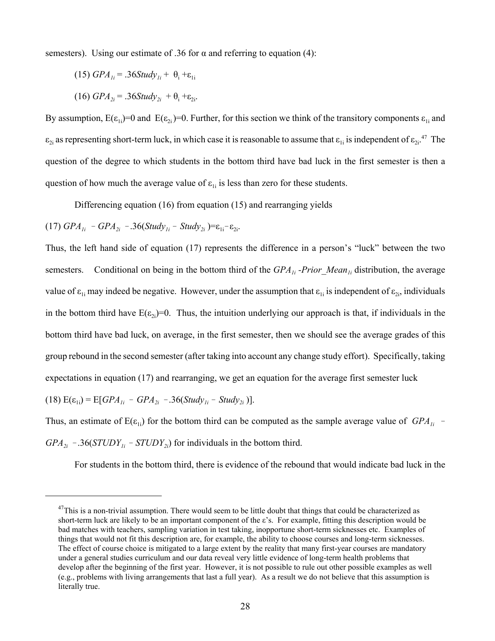semesters). Using our estimate of .36 for  $\alpha$  and referring to equation (4):

$$
(15) GPA_{1i} = .36 Study_{1i} + \theta_i + \varepsilon_{1i}
$$

$$
(16) GPA_{2i} = .36Study_{2i} + \theta_i + \varepsilon_{2i}.
$$

By assumption,  $E(\epsilon_{1i})=0$  and  $E(\epsilon_{2i})=0$ . Further, for this section we think of the transitory components  $\epsilon_{1i}$  and  $\varepsilon_{2i}$  as representing short-term luck, in which case it is reasonable to assume that  $\varepsilon_{1i}$  is independent of  $\varepsilon_{2i}$ .<sup>47</sup> The question of the degree to which students in the bottom third have bad luck in the first semester is then a question of how much the average value of  $\varepsilon_{1i}$  is less than zero for these students.

Differencing equation (16) from equation (15) and rearranging yields

 $(17)$  *GPA*<sub>1i</sub>  $-$  *GPA*<sub>2i</sub>  $.36(Study_{1i} - Study_{2i}) = \varepsilon_{1i} - \varepsilon_{2i}$ .

Thus, the left hand side of equation (17) represents the difference in a person's "luck" between the two semesters. Conditional on being in the bottom third of the *GPA<sub>1i</sub>* -Prior\_Mean<sub>Ii</sub> distribution, the average value of  $\varepsilon_{1i}$  may indeed be negative. However, under the assumption that  $\varepsilon_{1i}$  is independent of  $\varepsilon_{2i}$ , individuals in the bottom third have  $E(\epsilon_{2i})=0$ . Thus, the intuition underlying our approach is that, if individuals in the bottom third have bad luck, on average, in the first semester, then we should see the average grades of this group rebound in the second semester (after taking into account any change study effort). Specifically, taking expectations in equation (17) and rearranging, we get an equation for the average first semester luck  $(18)$   $E(\varepsilon_{1i}) = E[GPA_{1i} - GPA_{2i} - .36(Study_{1i} - Study_{2i})].$ 

Thus, an estimate of  $E(\epsilon_{1i})$  for the bottom third can be computed as the sample average value of *GPA*<sub>1*i*</sub> - $GPA_{2i}$  - .36(*STUDY*<sub>1*i*</sub> - *STUDY*<sub>2*i*</sub>) for individuals in the bottom third.

For students in the bottom third, there is evidence of the rebound that would indicate bad luck in the

 $47$ This is a non-trivial assumption. There would seem to be little doubt that things that could be characterized as short-term luck are likely to be an important component of the  $\varepsilon$ 's. For example, fitting this description would be bad matches with teachers, sampling variation in test taking, inopportune short-term sicknesses etc. Examples of things that would not fit this description are, for example, the ability to choose courses and long-term sicknesses. The effect of course choice is mitigated to a large extent by the reality that many first-year courses are mandatory under a general studies curriculum and our data reveal very little evidence of long-term health problems that develop after the beginning of the first year. However, it is not possible to rule out other possible examples as well (e.g., problems with living arrangements that last a full year). As a result we do not believe that this assumption is literally true.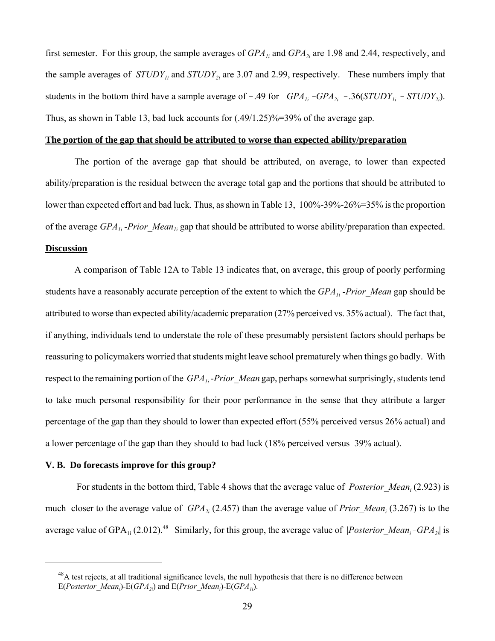first semester. For this group, the sample averages of *GPA<sub>1i</sub>* and *GPA*<sub>2i</sub> are 1.98 and 2.44, respectively, and the sample averages of  $STUDY_{1i}$  and  $STUDY_{2i}$  are 3.07 and 2.99, respectively. These numbers imply that students in the bottom third have a sample average of  $-.49$  for *GPA<sub>1i</sub>*  $-GPA_{2i}$   $-.36(STUDY_{1i} - STUDY_{2i})$ . Thus, as shown in Table 13, bad luck accounts for (.49/1.25)%=39% of the average gap.

### **The portion of the gap that should be attributed to worse than expected ability/preparation**

The portion of the average gap that should be attributed, on average, to lower than expected ability/preparation is the residual between the average total gap and the portions that should be attributed to lower than expected effort and bad luck. Thus, as shown in Table 13, 100%-39%-26%=35% is the proportion of the average *GPA<sub>1i</sub>* -Prior\_Mean<sub>1i</sub> gap that should be attributed to worse ability/preparation than expected.

### **Discussion**

A comparison of Table 12A to Table 13 indicates that, on average, this group of poorly performing students have a reasonably accurate perception of the extent to which the *GPA<sub>1i</sub>*-Prior Mean gap should be attributed to worse than expected ability/academic preparation (27% perceived vs. 35% actual). The fact that, if anything, individuals tend to understate the role of these presumably persistent factors should perhaps be reassuring to policymakers worried that students might leave school prematurely when things go badly. With respect to the remaining portion of the *GPA<sub>1i</sub>*-Prior Mean gap, perhaps somewhat surprisingly, students tend to take much personal responsibility for their poor performance in the sense that they attribute a larger percentage of the gap than they should to lower than expected effort (55% perceived versus 26% actual) and a lower percentage of the gap than they should to bad luck (18% perceived versus 39% actual).

### **V. B. Do forecasts improve for this group?**

For students in the bottom third, Table 4 shows that the average value of *Posterior Mean*, (2.923) is much closer to the average value of *GPA*<sub>2i</sub> (2.457) than the average value of *Prior* Mean<sub>i</sub> (3.267) is to the average value of  $GPA_{1i}$  (2.012).<sup>48</sup> Similarly, for this group, the average value of *|Posterior\_Mean<sub>i</sub>*- $GPA_{2i}$ | is

<sup>&</sup>lt;sup>48</sup>A test rejects, at all traditional significance levels, the null hypothesis that there is no difference between  $E(Posterior\_Mean_i)$ - $E(GPA_{2i})$  and  $E(Prior\_Mean_i)$ - $E(GPA_{1i})$ .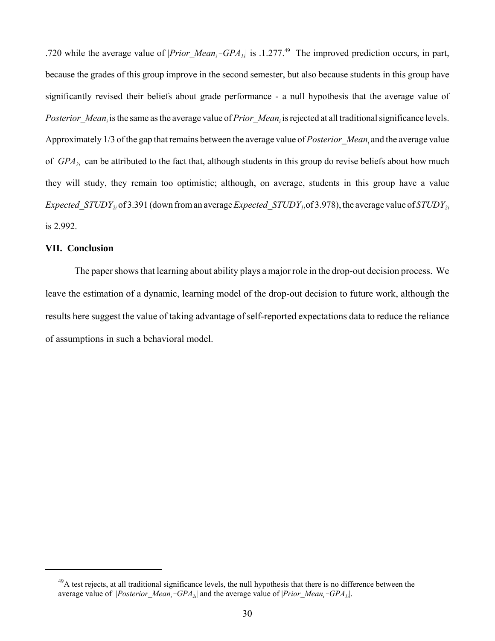.720 while the average value of  $|Prior\_Mean_i-GPA_{1i}|$  is .1.277.<sup>49</sup> The improved prediction occurs, in part, because the grades of this group improve in the second semester, but also because students in this group have significantly revised their beliefs about grade performance - a null hypothesis that the average value of Posterior Mean<sub>i</sub> is the same as the average value of *Prior Mean<sub>i</sub>* is rejected at all traditional significance levels. Approximately 1/3 of the gap that remains between the average value of *Posterior\_Meani* and the average value of *GPA<sub>2i</sub>* can be attributed to the fact that, although students in this group do revise beliefs about how much they will study, they remain too optimistic; although, on average, students in this group have a value *Expected\_STUDY*<sub>2i</sub> of 3.391 (down from an average *Expected\_STUDY*<sub>1i</sub> of 3.978), the average value of *STUDY*<sub>2i</sub> is 2.992.

### **VII. Conclusion**

The paper shows that learning about ability plays a major role in the drop-out decision process. We leave the estimation of a dynamic, learning model of the drop-out decision to future work, although the results here suggest the value of taking advantage of self-reported expectations data to reduce the reliance of assumptions in such a behavioral model.

<sup>&</sup>lt;sup>49</sup>A test rejects, at all traditional significance levels, the null hypothesis that there is no difference between the average value of *|Posterior\_Mean<sub>i</sub>-GPA<sub>2i</sub>|* and the average value of *|Prior\_Mean<sub>i</sub>-GPA<sub>1i</sub>|.*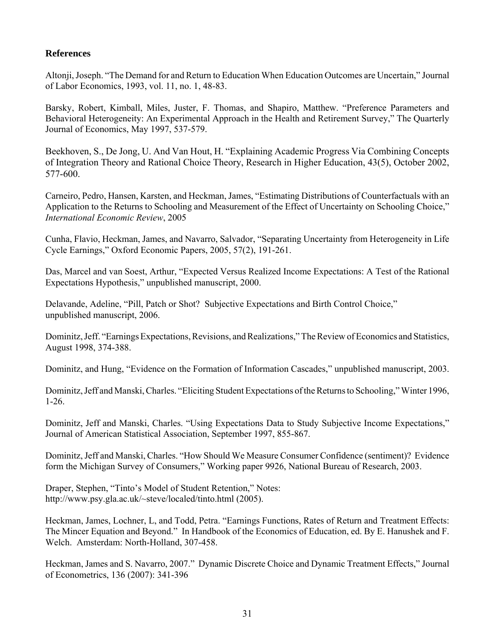# **References**

Altonji, Joseph. "The Demand for and Return to Education When Education Outcomes are Uncertain," Journal of Labor Economics, 1993, vol. 11, no. 1, 48-83.

Barsky, Robert, Kimball, Miles, Juster, F. Thomas, and Shapiro, Matthew. "Preference Parameters and Behavioral Heterogeneity: An Experimental Approach in the Health and Retirement Survey," The Quarterly Journal of Economics, May 1997, 537-579.

Beekhoven, S., De Jong, U. And Van Hout, H. "Explaining Academic Progress Via Combining Concepts of Integration Theory and Rational Choice Theory, Research in Higher Education, 43(5), October 2002, 577-600.

Carneiro, Pedro, Hansen, Karsten, and Heckman, James, "Estimating Distributions of Counterfactuals with an Application to the Returns to Schooling and Measurement of the Effect of Uncertainty on Schooling Choice," *International Economic Review*, 2005

Cunha, Flavio, Heckman, James, and Navarro, Salvador, "Separating Uncertainty from Heterogeneity in Life Cycle Earnings," Oxford Economic Papers, 2005, 57(2), 191-261.

Das, Marcel and van Soest, Arthur, "Expected Versus Realized Income Expectations: A Test of the Rational Expectations Hypothesis," unpublished manuscript, 2000.

Delavande, Adeline, "Pill, Patch or Shot? Subjective Expectations and Birth Control Choice," unpublished manuscript, 2006.

Dominitz, Jeff. "Earnings Expectations, Revisions, and Realizations," The Review of Economics and Statistics, August 1998, 374-388.

Dominitz, and Hung, "Evidence on the Formation of Information Cascades," unpublished manuscript, 2003.

Dominitz, Jeff and Manski, Charles. "Eliciting Student Expectations of the Returns to Schooling," Winter 1996, 1-26.

Dominitz, Jeff and Manski, Charles. "Using Expectations Data to Study Subjective Income Expectations," Journal of American Statistical Association, September 1997, 855-867.

Dominitz, Jeff and Manski, Charles. "How Should We Measure Consumer Confidence (sentiment)? Evidence form the Michigan Survey of Consumers," Working paper 9926, National Bureau of Research, 2003.

Draper, Stephen, "Tinto's Model of Student Retention," Notes: http://www.psy.gla.ac.uk/~steve/localed/tinto.html (2005).

Heckman, James, Lochner, L, and Todd, Petra. "Earnings Functions, Rates of Return and Treatment Effects: The Mincer Equation and Beyond." In Handbook of the Economics of Education, ed. By E. Hanushek and F. Welch. Amsterdam: North-Holland, 307-458.

Heckman, James and S. Navarro, 2007." Dynamic Discrete Choice and Dynamic Treatment Effects," Journal of Econometrics, 136 (2007): 341-396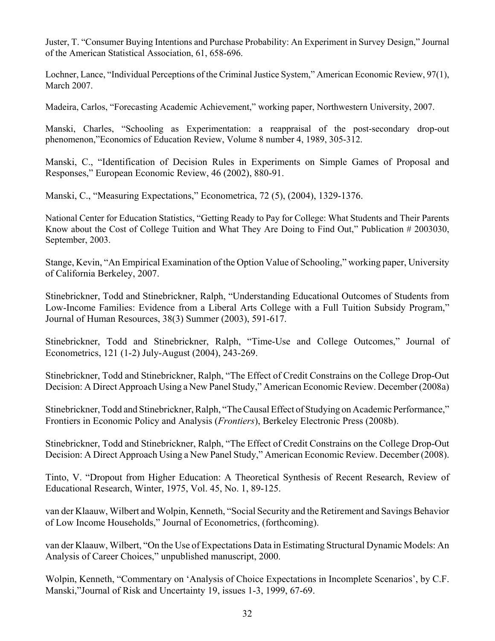Juster, T. "Consumer Buying Intentions and Purchase Probability: An Experiment in Survey Design," Journal of the American Statistical Association, 61, 658-696.

Lochner, Lance, "Individual Perceptions of the Criminal Justice System," American Economic Review, 97(1), March 2007.

Madeira, Carlos, "Forecasting Academic Achievement," working paper, Northwestern University, 2007.

Manski, Charles, "Schooling as Experimentation: a reappraisal of the post-secondary drop-out phenomenon,"Economics of Education Review, Volume 8 number 4, 1989, 305-312.

Manski, C., "Identification of Decision Rules in Experiments on Simple Games of Proposal and Responses," European Economic Review, 46 (2002), 880-91.

Manski, C., "Measuring Expectations," Econometrica, 72 (5), (2004), 1329-1376.

National Center for Education Statistics, "Getting Ready to Pay for College: What Students and Their Parents Know about the Cost of College Tuition and What They Are Doing to Find Out," Publication # 2003030, September, 2003.

Stange, Kevin, "An Empirical Examination of the Option Value of Schooling," working paper, University of California Berkeley, 2007.

Stinebrickner, Todd and Stinebrickner, Ralph, "Understanding Educational Outcomes of Students from Low-Income Families: Evidence from a Liberal Arts College with a Full Tuition Subsidy Program," Journal of Human Resources, 38(3) Summer (2003), 591-617.

Stinebrickner, Todd and Stinebrickner, Ralph, "Time-Use and College Outcomes," Journal of Econometrics, 121 (1-2) July-August (2004), 243-269.

Stinebrickner, Todd and Stinebrickner, Ralph, "The Effect of Credit Constrains on the College Drop-Out Decision: A Direct Approach Using a New Panel Study," American Economic Review. December (2008a)

Stinebrickner, Todd and Stinebrickner, Ralph, "The Causal Effect of Studying on Academic Performance," Frontiers in Economic Policy and Analysis (*Frontiers*), Berkeley Electronic Press (2008b).

Stinebrickner, Todd and Stinebrickner, Ralph, "The Effect of Credit Constrains on the College Drop-Out Decision: A Direct Approach Using a New Panel Study," American Economic Review. December (2008).

Tinto, V. "Dropout from Higher Education: A Theoretical Synthesis of Recent Research, Review of Educational Research, Winter, 1975, Vol. 45, No. 1, 89-125.

van der Klaauw, Wilbert and Wolpin, Kenneth, "Social Security and the Retirement and Savings Behavior of Low Income Households," Journal of Econometrics, (forthcoming).

van der Klaauw, Wilbert, "On the Use of Expectations Data in Estimating Structural Dynamic Models: An Analysis of Career Choices," unpublished manuscript, 2000.

Wolpin, Kenneth, "Commentary on 'Analysis of Choice Expectations in Incomplete Scenarios', by C.F. Manski,"Journal of Risk and Uncertainty 19, issues 1-3, 1999, 67-69.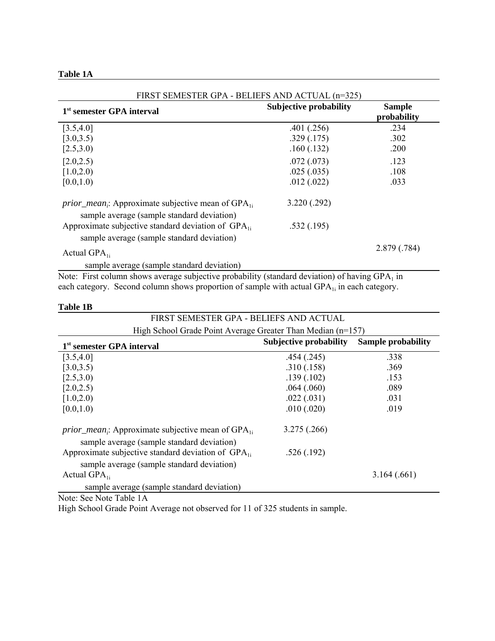| <b>Table</b> | 1А |
|--------------|----|
|--------------|----|

| FIRST SEMESTER GPA - BELIEFS AND ACTUAL (n=325)                                                                                              |                               |                              |  |
|----------------------------------------------------------------------------------------------------------------------------------------------|-------------------------------|------------------------------|--|
| 1 <sup>st</sup> semester GPA interval                                                                                                        | <b>Subjective probability</b> | <b>Sample</b><br>probability |  |
| [3.5, 4.0]                                                                                                                                   | .401(.256)                    | .234                         |  |
| [3.0, 3.5)                                                                                                                                   | .329(.175)                    | .302                         |  |
| [2.5,3.0)                                                                                                                                    | .160(.132)                    | .200                         |  |
| [2.0, 2.5)                                                                                                                                   | .072(.073)                    | .123                         |  |
| [1.0, 2.0]                                                                                                                                   | .025(.035)                    | .108                         |  |
| [0.0, 1.0)                                                                                                                                   | .012(.022)                    | .033                         |  |
| <i>prior_mean</i> ; Approximate subjective mean of $GPA_{1i}$<br>sample average (sample standard deviation)                                  | 3.220(.292)                   |                              |  |
| Approximate subjective standard deviation of $GPA_{1i}$<br>sample average (sample standard deviation)                                        | .532(.195)                    |                              |  |
| Actual $GPA_{1i}$                                                                                                                            |                               | 2.879 (.784)                 |  |
| sample average (sample standard deviation)<br>Note: First column shows everges subjective probability (step dard deviation) of hering CDA in |                               |                              |  |

Note: First column shows average subjective probability (standard deviation) of having  $GPA<sub>1</sub>$  in each category. Second column shows proportion of sample with actual GPA<sub>1i</sub> in each category.

| Table 1B |  |
|----------|--|
|----------|--|

| FIRST SEMESTER GPA - BELIEFS AND ACTUAL                                                                     |                                                            |             |  |  |  |  |
|-------------------------------------------------------------------------------------------------------------|------------------------------------------------------------|-------------|--|--|--|--|
| High School Grade Point Average Greater Than Median (n=157)                                                 |                                                            |             |  |  |  |  |
| 1 <sup>st</sup> semester GPA interval                                                                       | <b>Subjective probability</b><br><b>Sample probability</b> |             |  |  |  |  |
| [3.5, 4.0]                                                                                                  | .454(.245)                                                 | .338        |  |  |  |  |
| [3.0, 3.5)                                                                                                  | .310(.158)                                                 | .369        |  |  |  |  |
| [2.5,3.0)                                                                                                   | .139(.102)                                                 | .153        |  |  |  |  |
| [2.0, 2.5]                                                                                                  | .064(.060)                                                 | .089        |  |  |  |  |
| [1.0, 2.0]                                                                                                  | .022(.031)                                                 | .031        |  |  |  |  |
| [0.0, 1.0)                                                                                                  | .010(.020)                                                 | .019        |  |  |  |  |
| <i>prior_mean</i> ; Approximate subjective mean of $GPA_{1i}$<br>sample average (sample standard deviation) | 3.275(.266)                                                |             |  |  |  |  |
| Approximate subjective standard deviation of $GPA_{1i}$<br>sample average (sample standard deviation)       | .526(.192)                                                 |             |  |  |  |  |
| Actual $GPA_{1i}$                                                                                           |                                                            | 3.164(.661) |  |  |  |  |
| sample average (sample standard deviation)                                                                  |                                                            |             |  |  |  |  |

Note: See Note Table 1A

High School Grade Point Average not observed for 11 of 325 students in sample.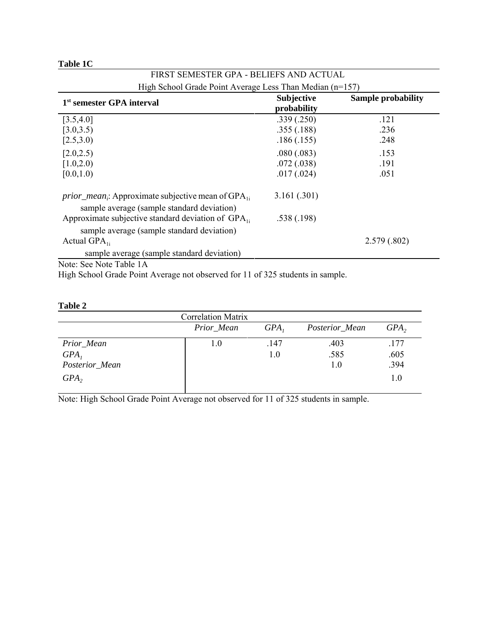| Table 1C |  |
|----------|--|
|----------|--|

| FIRST SEMESTER GPA - BELIEFS AND ACTUAL                                                                                        |                                  |                           |
|--------------------------------------------------------------------------------------------------------------------------------|----------------------------------|---------------------------|
| High School Grade Point Average Less Than Median (n=157)                                                                       |                                  |                           |
| 1 <sup>st</sup> semester GPA interval                                                                                          | <b>Subjective</b><br>probability | <b>Sample probability</b> |
| [3.5, 4.0]                                                                                                                     | .339(.250)                       | .121                      |
| [3.0, 3.5)                                                                                                                     | .355(.188)                       | .236                      |
| [2.5,3.0)                                                                                                                      | .186(.155)                       | .248                      |
| [2.0, 2.5)                                                                                                                     | .080(.083)                       | .153                      |
| [1.0, 2.0]                                                                                                                     | .072(.038)                       | .191                      |
| [0.0, 1.0)                                                                                                                     | .017(.024)                       | .051                      |
| <i>prior_mean<sub>i</sub></i> : Approximate subjective mean of GPA <sub>1i</sub><br>sample average (sample standard deviation) | 3.161(.301)                      |                           |
| Approximate subjective standard deviation of $GPA_{1i}$                                                                        | .538(.198)                       |                           |
| sample average (sample standard deviation)                                                                                     |                                  |                           |
| Actual $GPA_{1i}$                                                                                                              |                                  | 2.579(.802)               |
| sample average (sample standard deviation)                                                                                     |                                  |                           |
| $N_{\rm L}$ ( $\Omega_{\rm L}$ , $N_{\rm L}$ ) and $\Omega_{\rm L}$ ( $\Omega_{\rm L}$ ) and $\Omega_{\rm L}$                  |                                  |                           |

Note: See Note Table 1A

High School Grade Point Average not observed for 11 of 325 students in sample.

| ını<br>и<br>11 |  |
|----------------|--|
|----------------|--|

| <b>Correlation Matrix</b> |            |         |                |      |  |
|---------------------------|------------|---------|----------------|------|--|
|                           | Prior_Mean | $GPA$ , | Posterior_Mean | GPA, |  |
| Prior_Mean                | 1.0        | .147    | .403           | .177 |  |
| GPA <sub>1</sub>          |            | 1.0     | .585           | .605 |  |
| Posterior_Mean            |            |         | 1.0            | .394 |  |
| GPA <sub>2</sub>          |            |         |                | 1.0  |  |

Note: High School Grade Point Average not observed for 11 of 325 students in sample.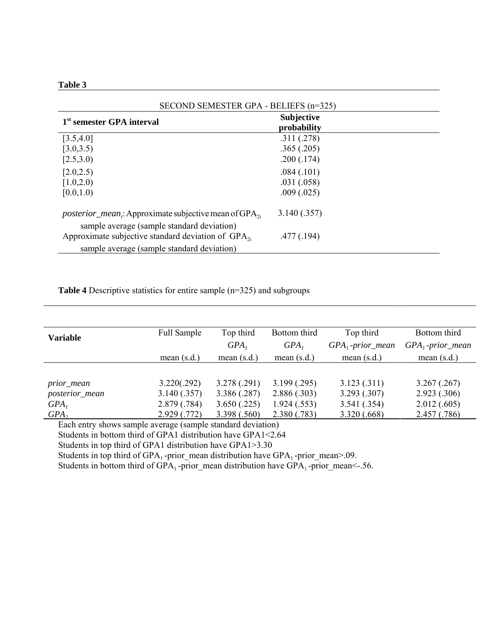| ını<br>16<br>и |  |
|----------------|--|
|----------------|--|

| SECOND SEMESTER GPA - BELIEFS (n=325)                                                                                              |                                  |  |  |
|------------------------------------------------------------------------------------------------------------------------------------|----------------------------------|--|--|
| 1 <sup>st</sup> semester GPA interval                                                                                              | <b>Subjective</b><br>probability |  |  |
| [3.5, 4.0]                                                                                                                         | .311(.278)                       |  |  |
| [3.0, 3.5)                                                                                                                         | .365(.205)                       |  |  |
| [2.5,3.0)                                                                                                                          | .200(.174)                       |  |  |
| [2.0, 2.5)                                                                                                                         | .084(.101)                       |  |  |
| [1.0, 2.0]                                                                                                                         | .031(.058)                       |  |  |
| [0.0, 1.0)                                                                                                                         | .009(.025)                       |  |  |
| <i>posterior_mean<sub>i</sub></i> : Approximate subjective mean of GPA <sub>2i</sub><br>sample average (sample standard deviation) | 3.140(.357)                      |  |  |
| Approximate subjective standard deviation of $GPA_{2i}$                                                                            | .477(.194)                       |  |  |
| sample average (sample standard deviation)                                                                                         |                                  |  |  |

**Table 4** Descriptive statistics for entire sample (n=325) and subgroups

| <b>Variable</b>                         | <b>Full Sample</b> | Top third        | Bottom third  | Top third          | Bottom third       |
|-----------------------------------------|--------------------|------------------|---------------|--------------------|--------------------|
|                                         |                    | GPA <sub>1</sub> | $GPA$ ,       | $GPA1$ -prior_mean | $GPA1$ -prior_mean |
|                                         | mean $(s.d.)$      | mean $(s.d.)$    | mean $(s.d.)$ | mean $(s.d.)$      | mean $(s.d.)$      |
|                                         |                    |                  |               |                    |                    |
| prior_mean                              | 3.220(.292)        | 3.278(.291)      | 3.199(.295)   | 3.123(.311)        | 3.267(.267)        |
| posterior_mean                          | 3.140(.357)        | 3.386(.287)      | 2.886(.303)   | 3.293(.307)        | 2.923(.306)        |
| GPA <sub>1</sub>                        | 2.879(.784)        | 3.650(.225)      | 1.924(.553)   | 3.541(.354)        | 2.012(.605)        |
| $GPA$ ,                                 | 2.929(0.772)       | 3.398 (.560)     | 2.380 (.783)  | 3.320(.668)        | 2.457 (.786)       |
| $\Gamma$ 1 i 1 i 1 i 1 i 1 i 1 i $\sim$ |                    |                  |               |                    |                    |

Each entry shows sample average (sample standard deviation)

Students in bottom third of GPA1 distribution have GPA1<2.64

Students in top third of GPA1 distribution have GPA1>3.30

Students in top third of  $GPA_1$ -prior\_mean distribution have  $GPA_1$ -prior\_mean>.09.

Students in bottom third of  $GPA_1$ -prior\_mean distribution have  $GPA_1$ -prior\_mean<-.56.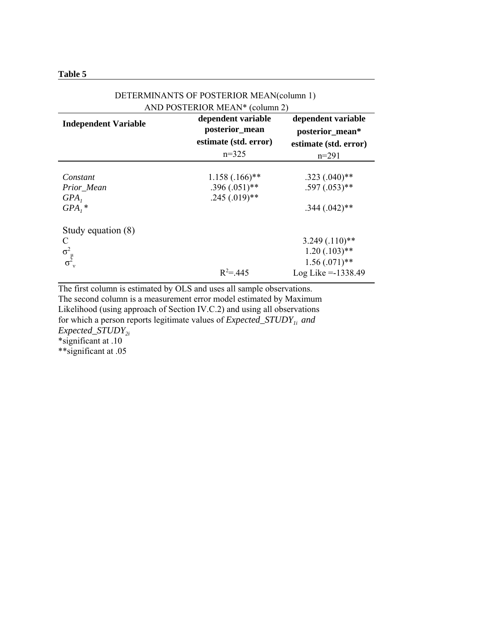| anı<br>16 |  |
|-----------|--|
|-----------|--|

| AND POSTERIOR MEAN* (column 2)                 |                                                        |                                                                                 |  |
|------------------------------------------------|--------------------------------------------------------|---------------------------------------------------------------------------------|--|
| <b>Independent Variable</b>                    | dependent variable<br>posterior_mean                   | dependent variable<br>posterior_mean*                                           |  |
|                                                | estimate (std. error)<br>$n=325$                       | estimate (std. error)                                                           |  |
|                                                |                                                        | $n=291$                                                                         |  |
| Constant<br>Prior_Mean<br>$GPA$ ,<br>$GPA_i$ * | $1.158(.166)$ **<br>$.396(.051)$ **<br>$.245(.019)$ ** | $.323(.040)$ **<br>$.597(.053)$ **<br>$.344(.042)$ **                           |  |
| Study equation (8)<br>C<br>$\sigma_{\mu}^{2}$  | $R^2 = 445$                                            | $3.249(.110)**$<br>$1.20(.103)$ **<br>$1.56(0.071)$ **<br>$Log Like = -1338.49$ |  |

# DETERMINANTS OF POSTERIOR MEAN(column 1)

The first column is estimated by OLS and uses all sample observations. The second column is a measurement error model estimated by Maximum Likelihood (using approach of Section IV.C.2) and using all observations for which a person reports legitimate values of *Expected\_STUDY*<sub>1i</sub> and *Expected\_STUDY2i* \*significant at .10 \*\*significant at .05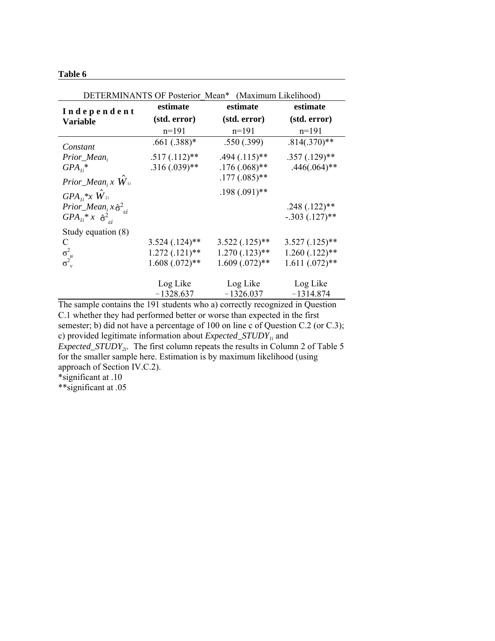### **Table 6**

| DETERMINANTS OF Posterior Mean* (Maximum Likelihood)          |                  |                  |                  |  |
|---------------------------------------------------------------|------------------|------------------|------------------|--|
| Independent                                                   | estimate         | estimate         | estimate         |  |
| <b>Variable</b>                                               | (std. error)     | (std. error)     | (std. error)     |  |
|                                                               | $n=191$          | $n=191$          | $n=191$          |  |
| Constant                                                      | $.661(.388)*$    | .550(.399)       | $.814(.370)**$   |  |
| Prior_Mean,                                                   | $.517(.112)$ **  | $.494(.115)$ **  | $.357(.129)$ **  |  |
| $GPA_{li}$ *                                                  | $.316(.039)$ **  | $.176(.068)$ **  | $.446(.064)$ **  |  |
| Prior_Mean <sub>i</sub> x $W_{1i}$                            |                  | $.177(.085)$ **  |                  |  |
| $GPA_{1i} *_{X} W_{2i}$                                       |                  | $.198(.091)$ **  |                  |  |
| <i>Prior_Mean</i> <sub>i</sub> $x\hat{\sigma}^2_{\epsilon i}$ |                  |                  | $.248(.122)$ **  |  |
| $GPA_{li} * x \frac{\partial^2}{\partial x^i}$                |                  |                  | $-.303(.127)$ ** |  |
| Study equation $(8)$                                          |                  |                  |                  |  |
| C                                                             | $3.524(.124)$ ** | $3.522(.125)$ ** | $3.527(.125)$ ** |  |
| $\sigma_{\nu}^2$                                              | $1.272(.121)$ ** | $1.270(.123)$ ** | $1.260(.122)$ ** |  |
|                                                               | $1.608(.072)**$  | $1.609(.072)$ ** | $1.611(.072)**$  |  |
|                                                               | Log Like         | Log Like         | Log Like         |  |
|                                                               | $-1328.637$      | $-1326.037$      | $-1314.874$      |  |

The sample contains the 191 students who a) correctly recognized in Question C.1 whether they had performed better or worse than expected in the first semester; b) did not have a percentage of 100 on line c of Question C.2 (or C.3); c) provided legitimate information about *Expected\_STUDY*<sub>1i</sub> and *Expected\_STUDY*<sub>2*i*</sub>. The first column repeats the results in Column 2 of Table 5 for the smaller sample here. Estimation is by maximum likelihood (using approach of Section IV.C.2).

\*significant at .10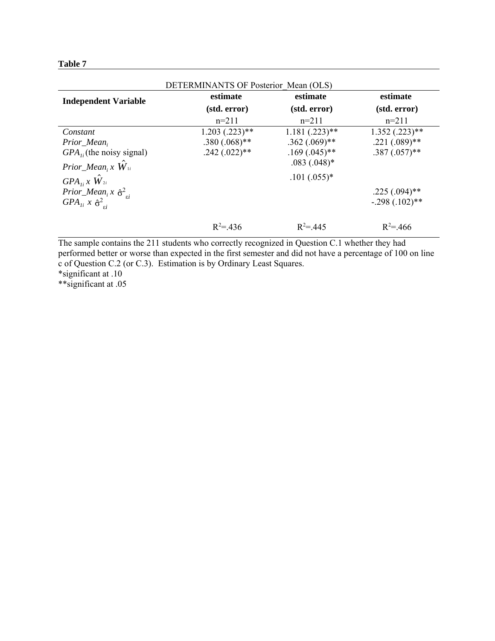| L<br>ı |  |
|--------|--|
|--------|--|

| DETERMINANTS OF Posterior Mean (OLS)                           |                              |                 |                    |
|----------------------------------------------------------------|------------------------------|-----------------|--------------------|
| <b>Independent Variable</b>                                    | estimate                     | estimate        | estimate           |
|                                                                | (std. error)<br>(std. error) |                 | (std. error)       |
|                                                                | $n=211$                      | $n=211$         | $n=211$            |
| Constant                                                       | $1.203$ $(.223)$ **          | $1.181(.223)**$ | $1.352$ $(.223)**$ |
| $Prior\_Mean_i$                                                | $.380(.068)$ **              | $.362(.069)$ ** | $.221(.089)$ **    |
| $GPA_{1i}$ (the noisy signal)                                  | $.242(.022)$ **              | $.169(.045)$ ** | $.387(.057)$ **    |
| Prior_Mean <sub>i</sub> x $W_{1i}$                             |                              | $.083(.048)*$   |                    |
| $GPA_{Ii}x\ \hat{W}_{2i}$                                      |                              | $.101(.055)*$   |                    |
| <i>Prior_Mean</i> <sub>i</sub> $x \hat{\sigma}^2_{\epsilon i}$ |                              |                 | $.225(.094)$ **    |
| $GPA_{li}$ x $\hat{\sigma}^2_{si}$                             |                              |                 | $-.298(.102)$ **   |
|                                                                | $R^2 = 436$                  | $R^2 = 445$     | $R^2 = 466$        |

The sample contains the 211 students who correctly recognized in Question C.1 whether they had performed better or worse than expected in the first semester and did not have a percentage of 100 on line c of Question C.2 (or C.3). Estimation is by Ordinary Least Squares. \*significant at .10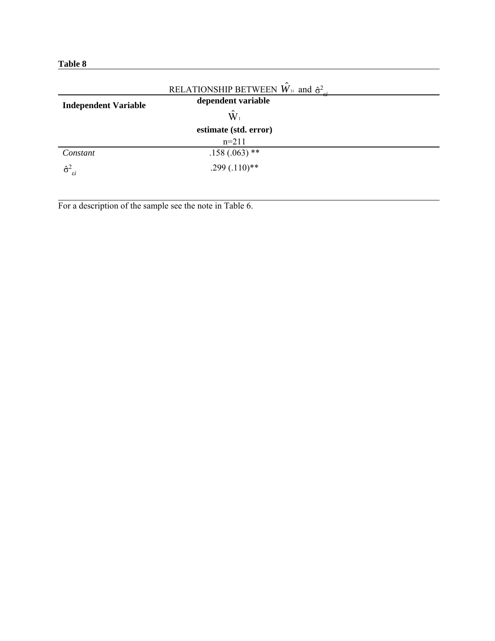**Table 8**

|                                    | RELATIONSHIP BETWEEN $\hat{W}_{1i}$ and $\hat{\sigma}^2$ . |  |
|------------------------------------|------------------------------------------------------------|--|
| <b>Independent Variable</b>        | dependent variable                                         |  |
|                                    | $\hat{\mathbf{W}}_1$                                       |  |
|                                    | estimate (std. error)                                      |  |
|                                    | $n=211$                                                    |  |
| Constant                           | $.158(.063)$ **                                            |  |
| $\hat{\sigma}^2_{\ \varepsilon i}$ | $.299(.110)$ **                                            |  |

For a description of the sample see the note in Table 6.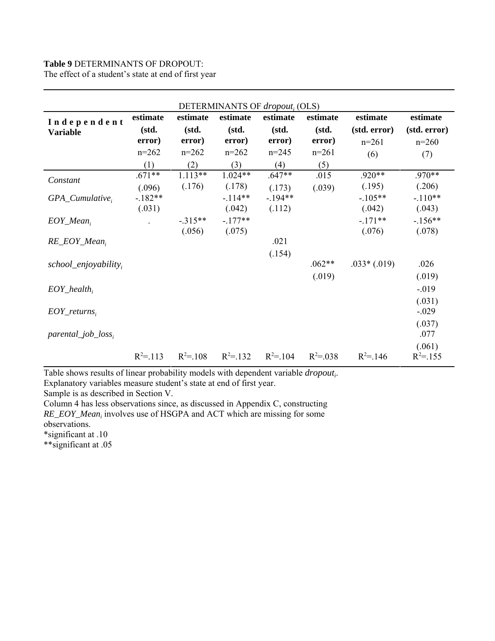# **Table 9** DETERMINANTS OF DROPOUT:

The effect of a student's state at end of first year

| DETERMINANTS OF dropout <sub>i</sub> (OLS) |             |             |             |             |               |               |              |
|--------------------------------------------|-------------|-------------|-------------|-------------|---------------|---------------|--------------|
| Independent                                | estimate    | estimate    | estimate    | estimate    | estimate      | estimate      | estimate     |
| <b>Variable</b>                            | (std.       | (std.       | (std.       | (std.       | (std.         | (std. error)  | (std. error) |
|                                            | error)      | error)      | error)      | error)      | error)        | $n=261$       | $n=260$      |
|                                            | $n=262$     | $n=262$     | $n=262$     | $n=245$     | $n=261$       | (6)           | (7)          |
|                                            | (1)         | (2)         | (3)         | (4)         | (5)           |               |              |
| Constant                                   | $.671**$    | $1.113**$   | $1.024**$   | $.647**$    | .015          | $.920**$      | .970**       |
|                                            | (.096)      | (.176)      | (.178)      | (.173)      | (.039)        | (.195)        | (.206)       |
| $GPA\_Cumulative_i$                        | $-182**$    |             | $-114**$    | $-194**$    |               | $-.105**$     | $-.110**$    |
|                                            | (.031)      |             | (.042)      | (.112)      |               | (.042)        | (.043)       |
| $EOY\_Mean_i$                              |             | $-.315**$   | $-177**$    |             |               | $-171**$      | $-.156**$    |
|                                            |             | (.056)      | (.075)      |             |               | (.076)        | (.078)       |
| $RE\_EOY\_Mean_i$                          |             |             |             | .021        |               |               |              |
|                                            |             |             |             | (.154)      |               |               |              |
| $school\_enjoyability_i$                   |             |             |             |             | $.062**$      | $.033*(.019)$ | .026         |
|                                            |             |             |             |             | (.019)        |               | (.019)       |
| $EOY\_health_i$                            |             |             |             |             |               |               | $-.019$      |
|                                            |             |             |             |             |               |               | (.031)       |
| $EOY_{\_}returns_i$                        |             |             |             |             |               |               | $-.029$      |
|                                            |             |             |             |             |               |               | (.037)       |
| $\textit{parental\_job\_loss}$             |             |             |             |             |               |               | .077         |
|                                            |             |             |             |             |               |               | (.061)       |
|                                            | $R^2 = 113$ | $R^2 = 108$ | $R^2 = 132$ | $R^2 = 104$ | $R^2 = 0.038$ | $R^2 = 146$   | $R^2 = 155$  |

Table shows results of linear probability models with dependent variable *dropouti* . Explanatory variables measure student's state at end of first year.

Sample is as described in Section V.

Column 4 has less observations since, as discussed in Appendix C, constructing RE\_EOY\_Mean<sub>i</sub> involves use of HSGPA and ACT which are missing for some observations.

\*significant at .10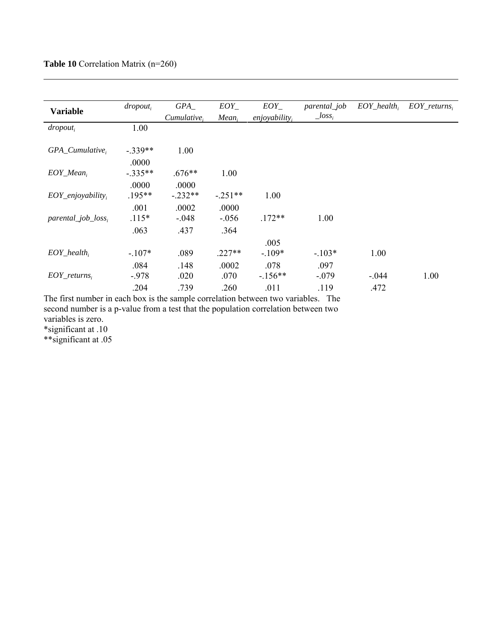| <b>Variable</b>                  | $dropout_i$ | GPA         | $EOY_{-}$         | $EOY_{-}$        | parental_job | $EOY_{\_}$ health, | $EOY_{\_}returns_{i}$ |
|----------------------------------|-------------|-------------|-------------------|------------------|--------------|--------------------|-----------------------|
|                                  |             | Cumulative. | Mean <sub>i</sub> | $enjoyability_i$ | $\_{loss_i}$ |                    |                       |
| $dropout_i$                      | 1.00        |             |                   |                  |              |                    |                       |
| $GPA\_Cumulative_i$              | $-.339**$   | 1.00        |                   |                  |              |                    |                       |
|                                  | .0000       |             |                   |                  |              |                    |                       |
| $EOY\_Mean_i$                    | $-.335**$   | $.676**$    | 1.00              |                  |              |                    |                       |
|                                  | .0000       | .0000       |                   |                  |              |                    |                       |
| $EOY_{enjovability_i}$           | $.195**$    | $-232**$    | $-.251**$         | 1.00             |              |                    |                       |
|                                  | .001        | .0002       | .0000             |                  |              |                    |                       |
| $\textit{parental\_job\_loss}_i$ | $.115*$     | $-.048$     | $-.056$           | $.172**$         | 1.00         |                    |                       |
|                                  | .063        | .437        | .364              |                  |              |                    |                       |
|                                  |             |             |                   | .005             |              |                    |                       |
| $EOY_{\_}$ health <sub>i</sub>   | $-.107*$    | .089        | $.227**$          | $-109*$          | $-.103*$     | 1.00               |                       |
|                                  | .084        | .148        | .0002             | .078             | .097         |                    |                       |
| $EOY_{\_}returns,$               | $-.978$     | .020        | .070              | $-156**$         | $-.079$      | $-.044$            | 1.00                  |
|                                  | .204        | .739        | .260              | .011             | .119         | .472               |                       |

The first number in each box is the sample correlation between two variables. The second number is a p-value from a test that the population correlation between two variables is zero. \*significant at .10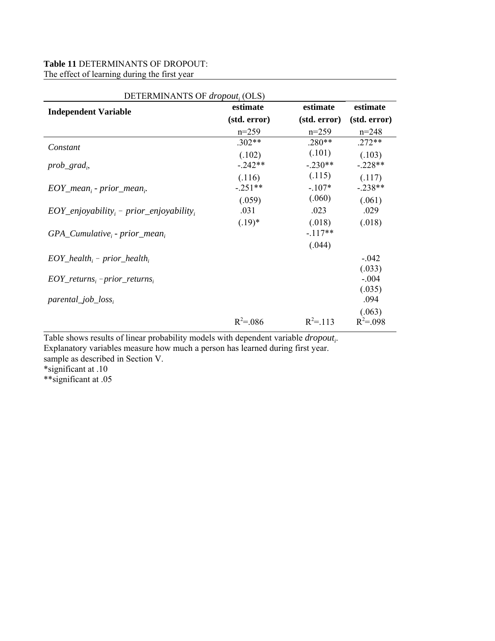# **Table 11** DETERMINANTS OF DROPOUT: The effect of learning during the first year

| DETERMINANTS OF dropout; (OLS)                                |               |              |                         |  |
|---------------------------------------------------------------|---------------|--------------|-------------------------|--|
| <b>Independent Variable</b>                                   | estimate      | estimate     | estimate                |  |
|                                                               | (std. error)  | (std. error) | (std. error)            |  |
|                                                               | $n=259$       | $n=259$      | $n = 248$               |  |
| Constant                                                      | $.302**$      | $.280**$     | $.272**$                |  |
|                                                               | (.102)        | (.101)       | (.103)                  |  |
| $prob\_grad_i$                                                | $-.242**$     | $-.230**$    | $-.228**$               |  |
|                                                               | (.116)        | (.115)       | (.117)                  |  |
| $EOY\_mean_i$ - prior_mean,.                                  | $-.251**$     | $-.107*$     | $-.238**$               |  |
|                                                               | (.059)        | (.060)       | (.061)                  |  |
| $EOY_{\text{}}$ <i>enjoyability</i> , - prior_enjoyability,   | .031          | .023         | .029                    |  |
|                                                               | $(.19)^*$     | (.018)       | (.018)                  |  |
| $GPA\_Cumulative_i$ - prior_mean,                             |               | $-117**$     |                         |  |
|                                                               |               | (.044)       |                         |  |
| $EOY_{\perp}$ health <sub>i</sub> – prior_health <sub>i</sub> |               |              | $-.042$                 |  |
|                                                               |               |              | (.033)                  |  |
| $EOY_{\_}returns_i - prior_{\_}returns_i$                     |               |              | $-.004$                 |  |
|                                                               |               |              | (.035)                  |  |
| $\textit{parental\_job\_loss}_i$                              |               |              | .094                    |  |
|                                                               | $R^2 = 0.086$ | $R^2 = 113$  | (.063)<br>$R^2 = 0.098$ |  |
|                                                               |               |              |                         |  |

Table shows results of linear probability models with dependent variable *dropout*<sub>i</sub>.

Explanatory variables measure how much a person has learned during first year.

sample as described in Section V.

\*significant at .10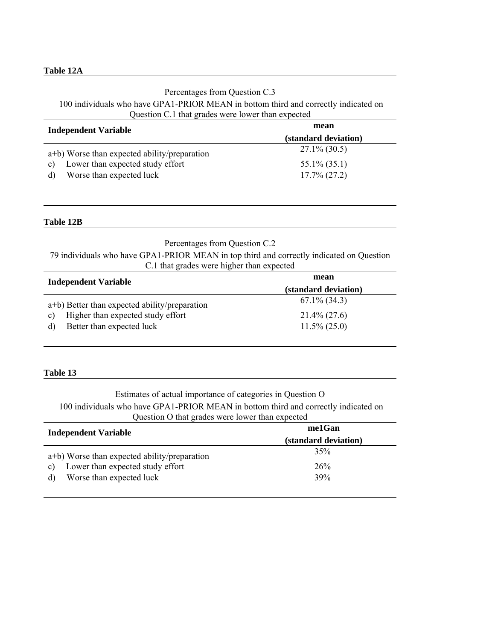### **Table 12A**

### Percentages from Question C.3

### 100 individuals who have GPA1-PRIOR MEAN in bottom third and correctly indicated on Question C.1 that grades were lower than expected

| <b>Independent Variable</b>                      | mean                 |
|--------------------------------------------------|----------------------|
|                                                  | (standard deviation) |
| a+b) Worse than expected ability/preparation     | $27.1\%$ (30.5)      |
| Lower than expected study effort<br>$\mathbf{c}$ | $55.1\% (35.1)$      |
| Worse than expected luck<br>d)                   | $17.7\%$ (27.2)      |

### **Table 12B**

### Percentages from Question C.2

79 individuals who have GPA1-PRIOR MEAN in top third and correctly indicated on Question C.1 that grades were higher than expected

| <b>Independent Variable</b>                       | mean                 |
|---------------------------------------------------|----------------------|
|                                                   | (standard deviation) |
| a+b) Better than expected ability/preparation     | $67.1\%$ (34.3)      |
| Higher than expected study effort<br>$\mathbf{c}$ | $21.4\% (27.6)$      |
| Better than expected luck<br>d)                   | $11.5\% (25.0)$      |

### **Table 13**

# Estimates of actual importance of categories in Question O 100 individuals who have GPA1-PRIOR MEAN in bottom third and correctly indicated on Question O that grades were lower than expected

| <b>Independent Variable</b>                        | me1Gan               |
|----------------------------------------------------|----------------------|
|                                                    | (standard deviation) |
| $a+b$ ) Worse than expected ability/preparation    | 35%                  |
| Lower than expected study effort<br>$\mathbf{c}$ ) | 26%                  |
| Worse than expected luck<br>d)                     | 39%                  |
|                                                    |                      |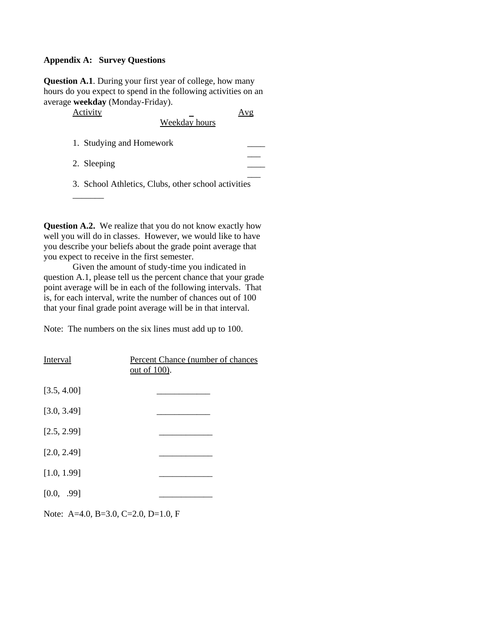### **Appendix A: Survey Questions**

**Question A.1**. During your first year of college, how many hours do you expect to spend in the following activities on an average **weekday** (Monday-Friday).

| Activity                                            | Weekday hours |  |
|-----------------------------------------------------|---------------|--|
| 1. Studying and Homework                            |               |  |
| 2. Sleeping                                         |               |  |
| 3. School Athletics, Clubs, other school activities |               |  |
|                                                     |               |  |

**Question A.2.** We realize that you do not know exactly how well you will do in classes. However, we would like to have you describe your beliefs about the grade point average that you expect to receive in the first semester.

Given the amount of study-time you indicated in question A.1, please tell us the percent chance that your grade point average will be in each of the following intervals. That is, for each interval, write the number of chances out of 100 that your final grade point average will be in that interval.

Note: The numbers on the six lines must add up to 100.

| Interval    | Percent Chance (number of chances<br><u>out of 100</u> ). |
|-------------|-----------------------------------------------------------|
| [3.5, 4.00] |                                                           |
| [3.0, 3.49] |                                                           |
| [2.5, 2.99] |                                                           |
| [2.0, 2.49] |                                                           |
| [1.0, 1.99] |                                                           |
| [0.0, .99]  |                                                           |
|             |                                                           |

Note: A=4.0, B=3.0, C=2.0, D=1.0, F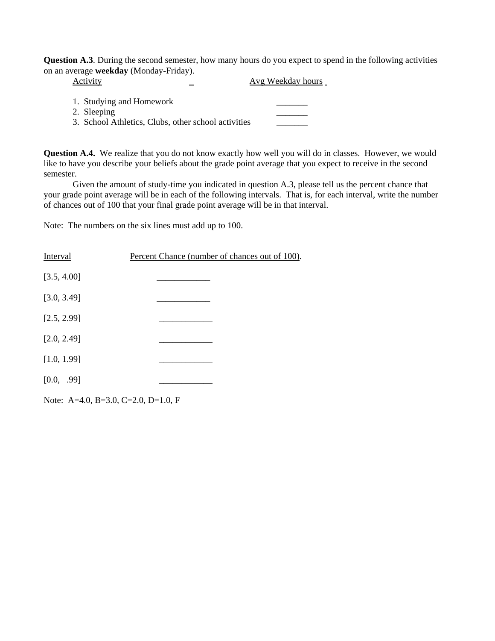**Question A.3**. During the second semester, how many hours do you expect to spend in the following activities on an average **weekday** (Monday-Friday).

| Activity                                                                                       | Avg Weekday hours |
|------------------------------------------------------------------------------------------------|-------------------|
| 1. Studying and Homework<br>2. Sleeping<br>3. School Athletics, Clubs, other school activities |                   |

**Question A.4.** We realize that you do not know exactly how well you will do in classes. However, we would like to have you describe your beliefs about the grade point average that you expect to receive in the second semester.

Given the amount of study-time you indicated in question A.3, please tell us the percent chance that your grade point average will be in each of the following intervals. That is, for each interval, write the number of chances out of 100 that your final grade point average will be in that interval.

Note: The numbers on the six lines must add up to 100.

| <b>Interval</b> | Percent Chance (number of chances out of 100). |
|-----------------|------------------------------------------------|
| [3.5, 4.00]     |                                                |
| [3.0, 3.49]     |                                                |
| [2.5, 2.99]     |                                                |
| [2.0, 2.49]     |                                                |
| [1.0, 1.99]     |                                                |
| [0.0, .99]      |                                                |
|                 |                                                |

Note: A=4.0, B=3.0, C=2.0, D=1.0, F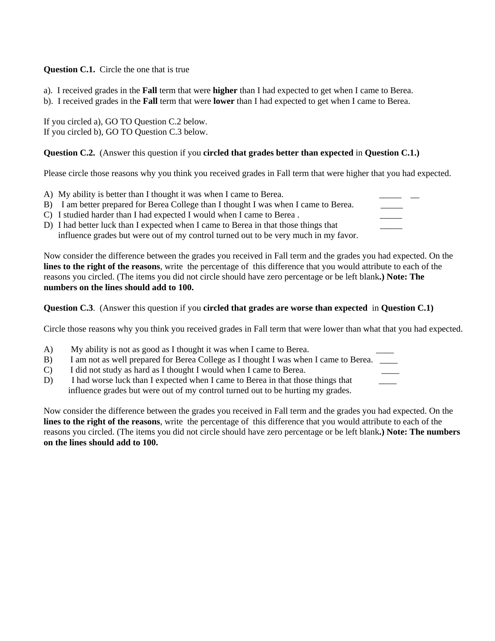**Question C.1.** Circle the one that is true

- a). I received grades in the **Fall** term that were **higher** than I had expected to get when I came to Berea.
- b). I received grades in the **Fall** term that were **lower** than I had expected to get when I came to Berea.

If you circled a), GO TO Question C.2 below. If you circled b), GO TO Question C.3 below.

# **Question C.2.** (Answer this question if you **circled that grades better than expected** in **Question C.1.)**

Please circle those reasons why you think you received grades in Fall term that were higher that you had expected.

- A) My ability is better than I thought it was when I came to Berea.
- B) I am better prepared for Berea College than I thought I was when I came to Berea.
- C) I studied harder than I had expected I would when I came to Berea.
- D) I had better luck than I expected when I came to Berea in that those things that influence grades but were out of my control turned out to be very much in my favor.

Now consider the difference between the grades you received in Fall term and the grades you had expected. On the **lines to the right of the reasons**, write the percentage of this difference that you would attribute to each of the reasons you circled. (The items you did not circle should have zero percentage or be left blank**.) Note: The numbers on the lines should add to 100.**

**Question C.3**. (Answer this question if you **circled that grades are worse than expected** in **Question C.1)**

Circle those reasons why you think you received grades in Fall term that were lower than what that you had expected.

- A) My ability is not as good as I thought it was when I came to Berea.
- B) I am not as well prepared for Berea College as I thought I was when I came to Berea.
- C) I did not study as hard as I thought I would when I came to Berea.
- D) I had worse luck than I expected when I came to Berea in that those things that influence grades but were out of my control turned out to be hurting my grades.

Now consider the difference between the grades you received in Fall term and the grades you had expected. On the **lines to the right of the reasons**, write the percentage of this difference that you would attribute to each of the reasons you circled. (The items you did not circle should have zero percentage or be left blank**.) Note: The numbers on the lines should add to 100.**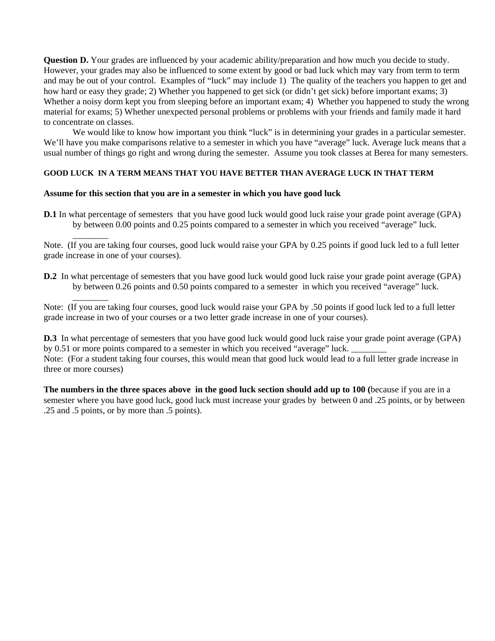**Question D.** Your grades are influenced by your academic ability/preparation and how much you decide to study. However, your grades may also be influenced to some extent by good or bad luck which may vary from term to term and may be out of your control. Examples of "luck" may include 1) The quality of the teachers you happen to get and how hard or easy they grade; 2) Whether you happened to get sick (or didn't get sick) before important exams; 3) Whether a noisy dorm kept you from sleeping before an important exam; 4) Whether you happened to study the wrong material for exams; 5) Whether unexpected personal problems or problems with your friends and family made it hard to concentrate on classes.

We would like to know how important you think "luck" is in determining your grades in a particular semester. We'll have you make comparisons relative to a semester in which you have "average" luck. Average luck means that a usual number of things go right and wrong during the semester. Assume you took classes at Berea for many semesters.

### **GOOD LUCK IN A TERM MEANS THAT YOU HAVE BETTER THAN AVERAGE LUCK IN THAT TERM**

#### **Assume for this section that you are in a semester in which you have good luck**

\_\_\_\_\_\_\_\_

 $\overline{\phantom{a}}$ 

**D.1** In what percentage of semesters that you have good luck would good luck raise your grade point average (GPA) by between 0.00 points and 0.25 points compared to a semester in which you received "average" luck.

Note. (If you are taking four courses, good luck would raise your GPA by 0.25 points if good luck led to a full letter grade increase in one of your courses).

**D.2** In what percentage of semesters that you have good luck would good luck raise your grade point average (GPA) by between 0.26 points and 0.50 points compared to a semester in which you received "average" luck.

Note: (If you are taking four courses, good luck would raise your GPA by .50 points if good luck led to a full letter grade increase in two of your courses or a two letter grade increase in one of your courses).

**D.3** In what percentage of semesters that you have good luck would good luck raise your grade point average (GPA) by 0.51 or more points compared to a semester in which you received "average" luck. Note: (For a student taking four courses, this would mean that good luck would lead to a full letter grade increase in three or more courses)

**The numbers in the three spaces above in the good luck section should add up to 100 (**because if you are in a semester where you have good luck, good luck must increase your grades by between 0 and .25 points, or by between .25 and .5 points, or by more than .5 points).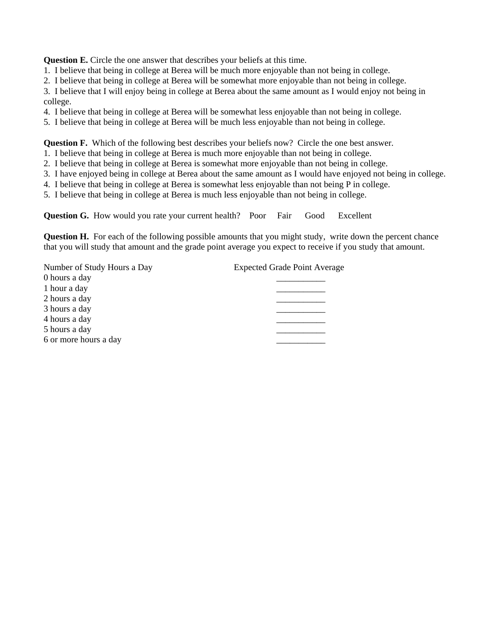**Question E.** Circle the one answer that describes your beliefs at this time.

- 1. I believe that being in college at Berea will be much more enjoyable than not being in college.
- 2. I believe that being in college at Berea will be somewhat more enjoyable than not being in college.

3. I believe that I will enjoy being in college at Berea about the same amount as I would enjoy not being in college.

- 4. I believe that being in college at Berea will be somewhat less enjoyable than not being in college.
- 5. I believe that being in college at Berea will be much less enjoyable than not being in college.

**Question F.** Which of the following best describes your beliefs now? Circle the one best answer.

- 1. I believe that being in college at Berea is much more enjoyable than not being in college.
- 2. I believe that being in college at Berea is somewhat more enjoyable than not being in college.
- 3. I have enjoyed being in college at Berea about the same amount as I would have enjoyed not being in college.
- 4. I believe that being in college at Berea is somewhat less enjoyable than not being P in college.
- 5. I believe that being in college at Berea is much less enjoyable than not being in college.

**Question G.** How would you rate your current health? Poor Fair Good Excellent

**Question H.** For each of the following possible amounts that you might study, write down the percent chance that you will study that amount and the grade point average you expect to receive if you study that amount.

| Number of Study Hours a Day | <b>Expected Grade Point Average</b> |
|-----------------------------|-------------------------------------|
| 0 hours a day               |                                     |
| 1 hour a day                |                                     |
| 2 hours a day               |                                     |
| 3 hours a day               |                                     |
| 4 hours a day               |                                     |
| 5 hours a day               |                                     |
| 6 or more hours a day       |                                     |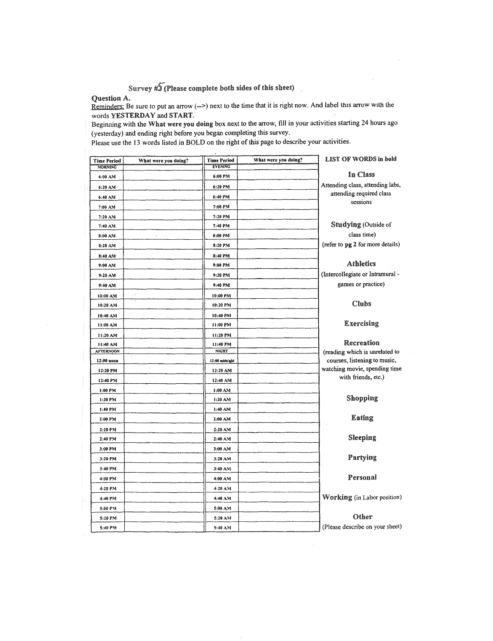Survey  $\sharp 2$  (Please complete both sides of this sheet)

Question A.

Reminders: Be sure to put an arrow  $(-2)$  next to the time that it is right now. And label this arrow with the words YESTERDAY and START.

Beginning with the What were you doing box next to the arrow, fill in your activities starting 24 hours ago (yesterday) and ending right before you began completing this survey.

Please use the 13 words listed in BOLD on the right of this page to describe your activities.

| <b>Time Period</b><br><b>MORNING</b> | What were you doing? | <b>Time Period</b><br><b>EVENING</b> | What were you doing? | <b>LIST OF WORDS in bold</b>                                   |
|--------------------------------------|----------------------|--------------------------------------|----------------------|----------------------------------------------------------------|
| 6:00 AM                              |                      | 6:00 PM                              |                      | In Class                                                       |
| 6:20 AM                              |                      | 6:20 PM                              |                      | Attending class, attending labs,                               |
| 6:40 AM                              |                      | 6:40 PM                              |                      | attending required class                                       |
| 7:00 AM                              |                      | 7:00 PM                              |                      | sessions                                                       |
| 7:20 A.M                             |                      | 7:20 PM                              |                      |                                                                |
| 7:40 AM                              |                      | 7:40 PM                              |                      | Studying (Outside of                                           |
| 8:00 AM                              |                      | 8:00 PM                              | à,                   | class time)                                                    |
| 8:20 AM                              |                      | 8:20 PM                              |                      | (refer to pg 2 for more details)                               |
| 8:40 AM                              |                      | 8:40 PM                              |                      |                                                                |
| 9:00 AM                              |                      | 9:00 PM                              |                      | Athletics                                                      |
| 9:20 AM                              |                      | 9:20 PM                              |                      | (Intercollegiate or Intramural -                               |
| 9:40 AM                              |                      | 9:40 PM                              |                      | games or practice)                                             |
| 10:00 AM                             | έř                   | 10:00 PM                             |                      |                                                                |
| 10:20 AM                             |                      | 10:20 PM                             |                      | <b>Clubs</b>                                                   |
| 10:40 AM                             |                      | 10:40 PM                             |                      |                                                                |
| 11:00 AM                             |                      | 11:00 PM                             | $\lambda$            | Exercising                                                     |
| 11:20 AM                             |                      | 11:20 PM                             |                      |                                                                |
| 11:40 AM                             |                      | 11:40 PM                             |                      | Recreation                                                     |
| <b>AFTERNOON</b>                     |                      | <b>NIGHT</b>                         |                      | (reading which is unrelated to<br>courses, listening to music, |
| 12:00 вооп                           |                      | 12:00 midnight                       |                      | watching movie, spending time                                  |
| 12:20 PM<br>12:40 P.M                |                      | 12:20 AM<br>12:40 AM                 |                      | with friends, etc.)                                            |
| 1:00 PM                              |                      | 1:00 AM                              |                      |                                                                |
| 1:20 PM                              |                      | 1:20 A.M                             |                      | Shopping                                                       |
| 1:40 PM                              |                      | 1:40 AM                              |                      |                                                                |
| 2:00 P.M                             |                      | 2:00 AM                              |                      | Eating                                                         |
| 2:20 P.M                             |                      | 2:20 AM                              |                      |                                                                |
| 2:40 P.M                             |                      | 2:40 A.M                             |                      | Sleeping                                                       |
| 3:00 PM                              |                      | 3:00 AM                              |                      |                                                                |
| 3:20 PM                              |                      | 3:20 AM                              |                      | Partying                                                       |
| 3:40 PM                              |                      | 3:40 AM                              |                      |                                                                |
| 4:00 PM                              |                      | 4:00 AM                              |                      | Personal                                                       |
| 4:20 PM                              |                      | 4:20 AM                              |                      |                                                                |
| 4:40 PM                              |                      | 4:40 AM                              |                      | Working (in Labor position)                                    |
| 5:00 PM                              |                      | 5:00 AM                              |                      |                                                                |
| 5:20 PM                              |                      | 5:20 AM                              |                      | Other                                                          |
| 5:40 PM                              |                      | 5:40 A.M                             |                      | (Please describe on your sheet)                                |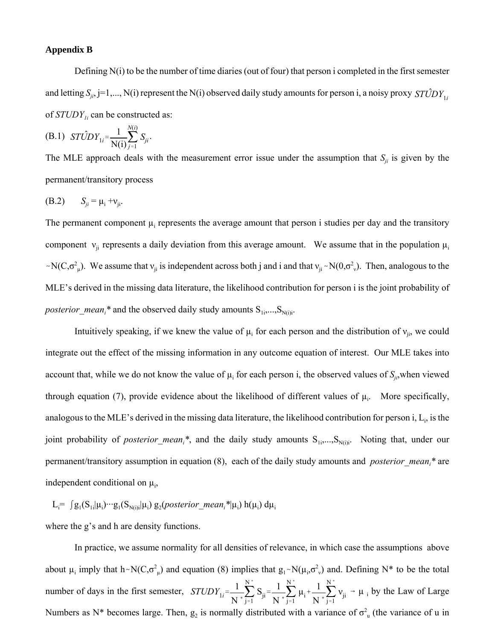### **Appendix B**

Defining N(i) to be the number of time diaries (out of four) that person i completed in the first semester and letting  $S_{ji}$ , j=1,..., N(i) represent the N(i) observed daily study amounts for person i, a noisy proxy *STUDY*  $Y_{1i}$ of *STUDY*<sub>*ii*</sub> can be constructed as:

(B.1) 
$$
ST\hat{U}DY_{1i} = \frac{1}{N(i)} \sum_{j=1}^{N(i)} S_{ji}.
$$

The MLE approach deals with the measurement error issue under the assumption that  $S_{ji}$  is given by the permanent/transitory process

(B.2) 
$$
S_{ji} = \mu_i + v_{ji}
$$
.

The permanent component  $\mu_i$  represents the average amount that person i studies per day and the transitory component  $v_{ii}$  represents a daily deviation from this average amount. We assume that in the population  $\mu_i$  $\sim N(C, \sigma^2)$ . We assume that  $v_{ji}$  is independent across both j and i and that  $v_{ji} \sim N(0, \sigma^2)$ . Then, analogous to the MLE's derived in the missing data literature, the likelihood contribution for person i is the joint probability of *posterior\_mean<sub>i</sub>*\* and the observed daily study amounts  $S_{1i},...,S_{N(i)i}$ .

Intuitively speaking, if we knew the value of  $\mu_i$  for each person and the distribution of  $v_{ji}$ , we could integrate out the effect of the missing information in any outcome equation of interest. Our MLE takes into account that, while we do not know the value of  $\mu_i$  for each person i, the observed values of  $S_{ij}$ , when viewed through equation (7), provide evidence about the likelihood of different values of  $\mu_i$ . More specifically, analogous to the MLE's derived in the missing data literature, the likelihood contribution for person i,  $L_i$ , is the joint probability of *posterior\_mean<sub>i</sub>*\*, and the daily study amounts S<sub>1i</sub>,...,S<sub>N(i)i</sub>. Noting that, under our permanent/transitory assumption in equation (8), each of the daily study amounts and *posterior\_mean<sub>i</sub>*\* are independent conditional on  $\mu_i$ ,

 $L_i = \int g_1(S_{1i}|\mu_i) \cdots g_1(S_{N(i)i}|\mu_i) g_2(posterior\_mean_i^*|\mu_i) h(\mu_i) d\mu_i$ 

where the g's and h are density functions.

In practice, we assume normality for all densities of relevance, in which case the assumptions above about  $\mu_i$  imply that h~N(C, $\sigma^2_{\mu}$ ) and equation (8) implies that  $g_1 \sim N(\mu_i, \sigma^2_{\nu})$  and. Defining N\* to be the total number of days in the first semester,  $STUDY_{1i} = \frac{1}{2} \sum_{i=1}^{N} S_{ii} = \frac{1}{2} \sum_{i=1}^{N} \mu_i + \frac{1}{2} \sum_{i=1}^{N} \nu_{ii} \rightarrow \mu_i$  by the Law of Large  $\frac{1}{N^*}$  $\sum_{j=1}$  $N^*$  $\sum_{j=1}^{N} S_{ji} = \frac{1}{N}$  $\frac{1}{N^*}$  $\sum_{j=1}$  $N^*$  $\sum_{j=1}^{N} \mu_{i} + \frac{1}{N}$  $\frac{1}{N^*}$  $\sum_{j=1}$  $N^*$  $\sum_{\mathbf{j}=1}$   $\mathbf{v}_{\mathbf{ji}}$ Numbers as N\* becomes large. Then,  $g_2$  is normally distributed with a variance of  $\sigma_u^2$  (the variance of u in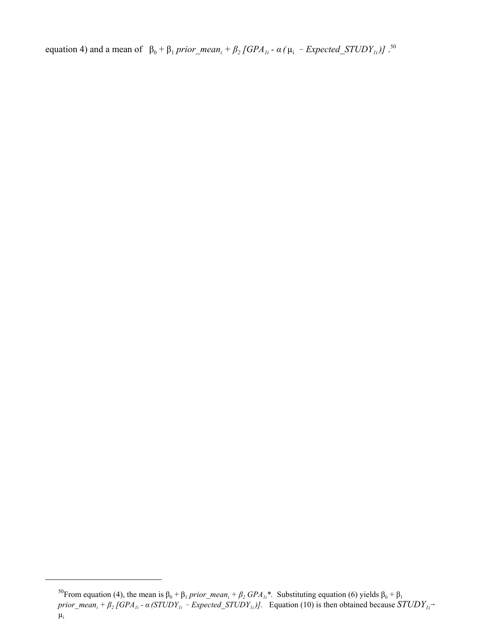equation 4) and a mean of  $β_0 + β_1 prior\_mean_i + β_2 [GPA_{1i} - α (μ_i - Expected\_STUDY_{1i})]$ .<sup>50</sup>

<sup>&</sup>lt;sup>50</sup>From equation (4), the mean is  $β_0 + β_1 prior\_mean_i + β_2 GPA_{li}^*$ . Substituting equation (6) yields  $β_0 + β_1$ *prior\_mean<sub>i</sub>* +  $\beta_2$  [GPA<sub>1i</sub> -  $\alpha$  (STUDY<sub>1i</sub> - Expected\_STUDY<sub>1i</sub>)]. Equation (10) is then obtained because  $STUDY_{1i}$ <sup>-</sup>  $\mu_i$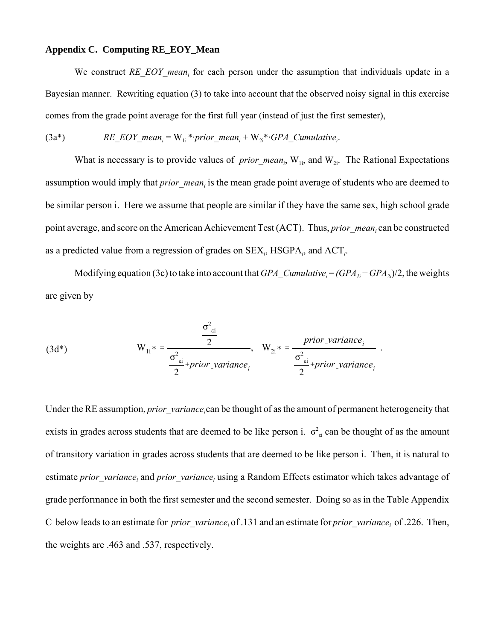# **Appendix C. Computing RE\_EOY\_Mean**

We construct RE\_EOY\_mean<sub>i</sub> for each person under the assumption that individuals update in a Bayesian manner. Rewriting equation (3) to take into account that the observed noisy signal in this exercise comes from the grade point average for the first full year (instead of just the first semester),

$$
(3a*) \qquad RE\_EOY\_mean_i = W_{1i} * prior\_mean_i + W_{2i} * GPA\_Cumulative_i.
$$

What is necessary is to provide values of *prior\_mean<sub>i</sub>*,  $W_{1i}$ , and  $W_{2i}$ . The Rational Expectations assumption would imply that *prior\_mean<sub>i</sub>* is the mean grade point average of students who are deemed to be similar person i. Here we assume that people are similar if they have the same sex, high school grade point average, and score on the American Achievement Test (ACT). Thus, *prior\_mean<sub>i</sub>* can be constructed as a predicted value from a regression of grades on SEX<sub>i</sub>, HSGPA<sub>i</sub>, and ACT<sub>i</sub>.

Modifying equation (3c) to take into account that  $GPA_{\perp}Cumulative_i = (GPA_{1i} + GPA_{2i})/2$ , the weights are given by

(3d\*) 
$$
W_{1i} * = \frac{\frac{\sigma_{ei}^2}{2}}{\frac{\sigma_{ei}^2}{2} + prior\_variance_i}, \quad W_{2i} * = \frac{prior\_variance_i}{\frac{\sigma_{ei}^2}{2} + prior\_variance_i}.
$$

Under the RE assumption, *prior* variance<sub>i</sub> can be thought of as the amount of permanent heterogeneity that exists in grades across students that are deemed to be like person i.  $\sigma_{\text{ei}}^2$  can be thought of as the amount of transitory variation in grades across students that are deemed to be like person i. Then, it is natural to estimate *prior\_variance<sub>i</sub>* and *prior\_variance<sub>i</sub>* using a Random Effects estimator which takes advantage of grade performance in both the first semester and the second semester. Doing so as in the Table Appendix C below leads to an estimate for *prior\_variance<sub>i</sub>* of .131 and an estimate for *prior\_variance<sub>i</sub>* of .226. Then, the weights are .463 and .537, respectively.